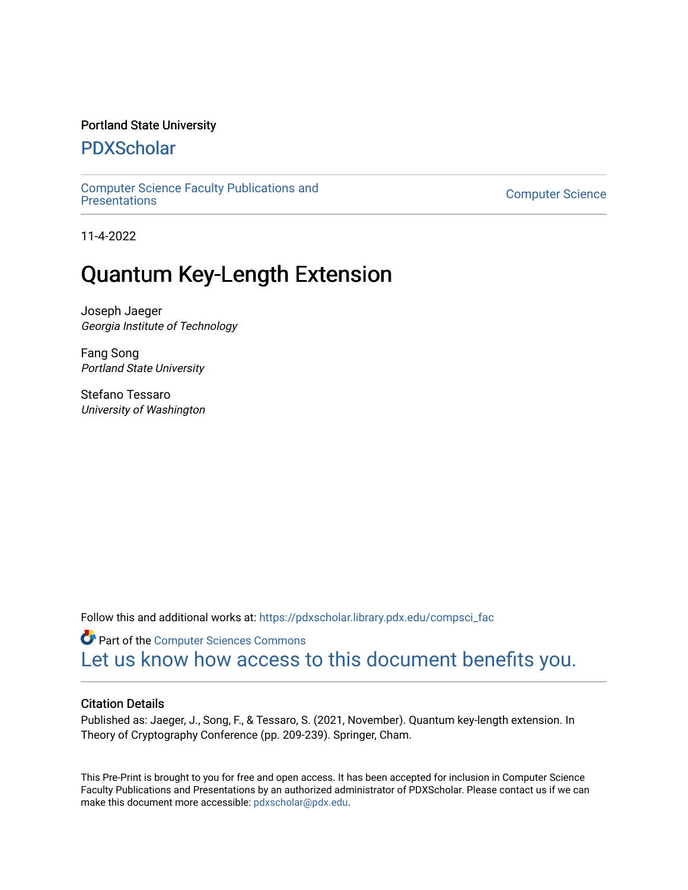## Portland State University

## [PDXScholar](https://pdxscholar.library.pdx.edu/)

[Computer Science Faculty Publications and](https://pdxscholar.library.pdx.edu/compsci_fac)  [Presentations](https://pdxscholar.library.pdx.edu/compsci_fac) [Computer Science](https://pdxscholar.library.pdx.edu/compsci) 

11-4-2022

# Quantum Key-Length Extension

Joseph Jaeger Georgia Institute of Technology

Fang Song Portland State University

Stefano Tessaro University of Washington

Follow this and additional works at: [https://pdxscholar.library.pdx.edu/compsci\\_fac](https://pdxscholar.library.pdx.edu/compsci_fac?utm_source=pdxscholar.library.pdx.edu%2Fcompsci_fac%2F287&utm_medium=PDF&utm_campaign=PDFCoverPages) 

**Part of the [Computer Sciences Commons](http://network.bepress.com/hgg/discipline/142?utm_source=pdxscholar.library.pdx.edu%2Fcompsci_fac%2F287&utm_medium=PDF&utm_campaign=PDFCoverPages)** [Let us know how access to this document benefits you.](http://library.pdx.edu/services/pdxscholar-services/pdxscholar-feedback/?ref=https://pdxscholar.library.pdx.edu/compsci_fac/287) 

## Citation Details

Published as: Jaeger, J., Song, F., & Tessaro, S. (2021, November). Quantum key-length extension. In Theory of Cryptography Conference (pp. 209-239). Springer, Cham.

This Pre-Print is brought to you for free and open access. It has been accepted for inclusion in Computer Science Faculty Publications and Presentations by an authorized administrator of PDXScholar. Please contact us if we can make this document more accessible: [pdxscholar@pdx.edu.](mailto:pdxscholar@pdx.edu)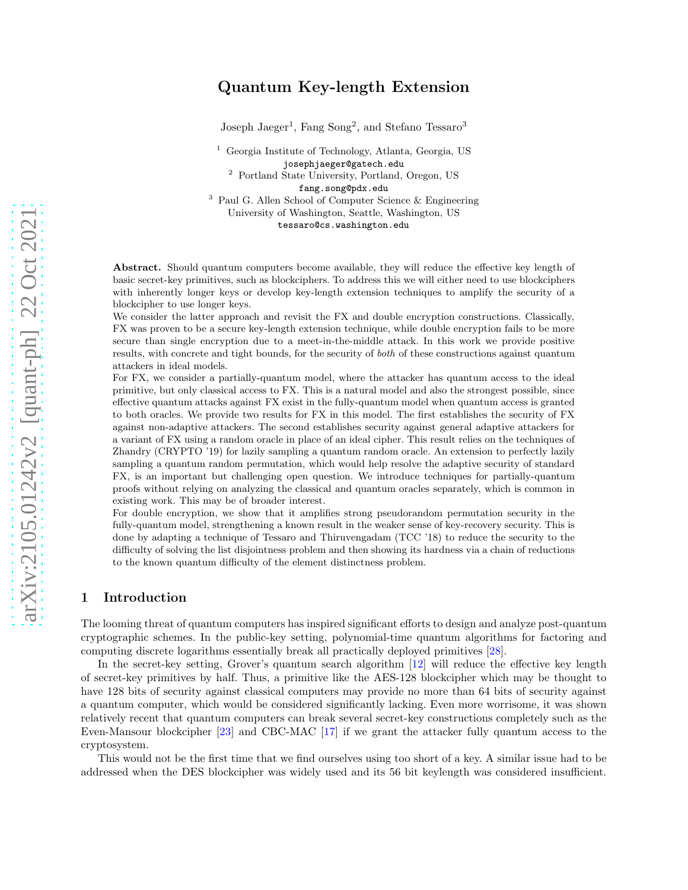## Quantum Key-length Extension

Joseph Jaeger<sup>1</sup>, Fang Song<sup>2</sup>, and Stefano Tessaro<sup>3</sup>

<sup>1</sup> Georgia Institute of Technology, Atlanta, Georgia, US josephjaeger@gatech.edu <sup>2</sup> Portland State University, Portland, Oregon, US

fang.song@pdx.edu

<sup>3</sup> Paul G. Allen School of Computer Science & Engineering University of Washington, Seattle, Washington, US tessaro@cs.washington.edu

Abstract. Should quantum computers become available, they will reduce the effective key length of basic secret-key primitives, such as blockciphers. To address this we will either need to use blockciphers with inherently longer keys or develop key-length extension techniques to amplify the security of a blockcipher to use longer keys.

We consider the latter approach and revisit the FX and double encryption constructions. Classically, FX was proven to be a secure key-length extension technique, while double encryption fails to be more secure than single encryption due to a meet-in-the-middle attack. In this work we provide positive results, with concrete and tight bounds, for the security of *both* of these constructions against quantum attackers in ideal models.

For FX, we consider a partially-quantum model, where the attacker has quantum access to the ideal primitive, but only classical access to FX. This is a natural model and also the strongest possible, since effective quantum attacks against FX exist in the fully-quantum model when quantum access is granted to both oracles. We provide two results for FX in this model. The first establishes the security of FX against non-adaptive attackers. The second establishes security against general adaptive attackers for a variant of FX using a random oracle in place of an ideal cipher. This result relies on the techniques of Zhandry (CRYPTO '19) for lazily sampling a quantum random oracle. An extension to perfectly lazily sampling a quantum random permutation, which would help resolve the adaptive security of standard FX, is an important but challenging open question. We introduce techniques for partially-quantum proofs without relying on analyzing the classical and quantum oracles separately, which is common in existing work. This may be of broader interest.

For double encryption, we show that it amplifies strong pseudorandom permutation security in the fully-quantum model, strengthening a known result in the weaker sense of key-recovery security. This is done by adapting a technique of Tessaro and Thiruvengadam (TCC '18) to reduce the security to the difficulty of solving the list disjointness problem and then showing its hardness via a chain of reductions to the known quantum difficulty of the element distinctness problem.

## 1 Introduction

The looming threat of quantum computers has inspired significant efforts to design and analyze post-quantum cryptographic schemes. In the public-key setting, polynomial-time quantum algorithms for factoring and computing discrete logarithms essentially break all practically deployed primitives [\[28\]](#page-25-0).

In the secret-key setting, Grover's quantum search algorithm [\[12\]](#page-24-0) will reduce the effective key length of secret-key primitives by half. Thus, a primitive like the AES-128 blockcipher which may be thought to have 128 bits of security against classical computers may provide no more than 64 bits of security against a quantum computer, which would be considered significantly lacking. Even more worrisome, it was shown relatively recent that quantum computers can break several secret-key constructions completely such as the Even-Mansour blockcipher [\[23\]](#page-25-1) and CBC-MAC [\[17\]](#page-25-2) if we grant the attacker fully quantum access to the cryptosystem.

This would not be the first time that we find ourselves using too short of a key. A similar issue had to be addressed when the DES blockcipher was widely used and its 56 bit keylength was considered insufficient.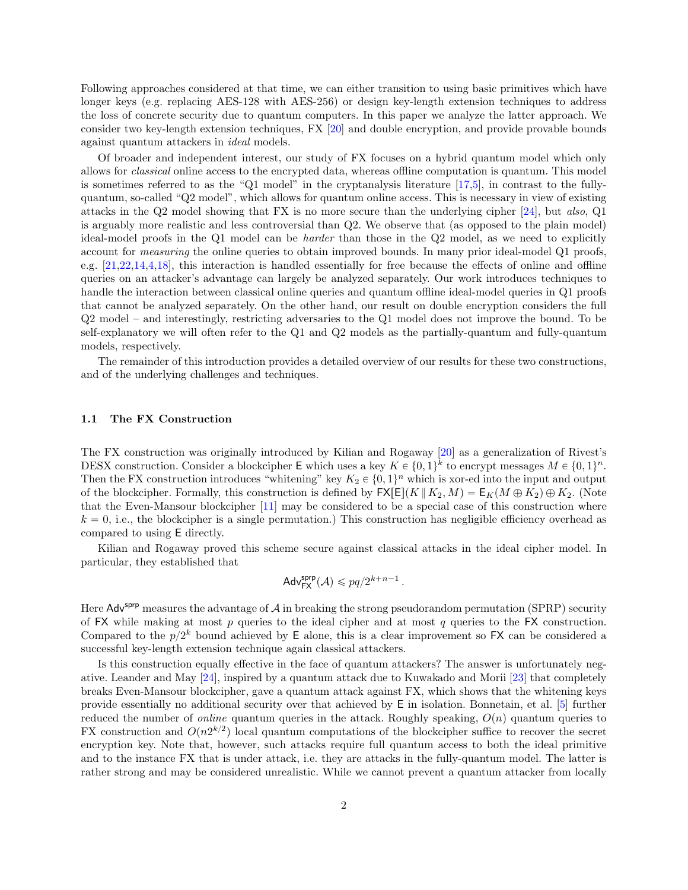Following approaches considered at that time, we can either transition to using basic primitives which have longer keys (e.g. replacing AES-128 with AES-256) or design key-length extension techniques to address the loss of concrete security due to quantum computers. In this paper we analyze the latter approach. We consider two key-length extension techniques, FX [\[20\]](#page-25-3) and double encryption, and provide provable bounds against quantum attackers in ideal models.

Of broader and independent interest, our study of FX focuses on a hybrid quantum model which only allows for classical online access to the encrypted data, whereas offline computation is quantum. This model is sometimes referred to as the "Q1 model" in the cryptanalysis literature  $[17,5]$  $[17,5]$ , in contrast to the fullyquantum, so-called "Q2 model", which allows for quantum online access. This is necessary in view of existing attacks in the Q2 model showing that FX is no more secure than the underlying cipher [\[24\]](#page-25-4), but also, Q1 is arguably more realistic and less controversial than Q2. We observe that (as opposed to the plain model) ideal-model proofs in the Q1 model can be harder than those in the Q2 model, as we need to explicitly account for measuring the online queries to obtain improved bounds. In many prior ideal-model Q1 proofs, e.g. [\[21,](#page-25-5)[22,](#page-25-6)[14](#page-24-2)[,4,](#page-24-3)[18\]](#page-25-7), this interaction is handled essentially for free because the effects of online and offline queries on an attacker's advantage can largely be analyzed separately. Our work introduces techniques to handle the interaction between classical online queries and quantum offline ideal-model queries in Q1 proofs that cannot be analyzed separately. On the other hand, our result on double encryption considers the full Q2 model – and interestingly, restricting adversaries to the Q1 model does not improve the bound. To be self-explanatory we will often refer to the Q1 and Q2 models as the partially-quantum and fully-quantum models, respectively.

The remainder of this introduction provides a detailed overview of our results for these two constructions, and of the underlying challenges and techniques.

#### 1.1 The FX Construction

The FX construction was originally introduced by Kilian and Rogaway [\[20\]](#page-25-3) as a generalization of Rivest's DESX construction. Consider a blockcipher E which uses a key  $K \in \{0, 1\}^k$  to encrypt messages  $M \in \{0, 1\}^n$ . Then the FX construction introduces "whitening" key  $K_2 \in \{0, 1\}^n$  which is xor-ed into the input and output of the blockcipher. Formally, this construction is defined by  $\mathsf{FX}[E](K || K_2, M) = \mathsf{E}_K(M \oplus K_2) \oplus K_2$ . (Note that the Even-Mansour blockcipher [\[11\]](#page-24-4) may be considered to be a special case of this construction where  $k = 0$ , i.e., the blockcipher is a single permutation.) This construction has negligible efficiency overhead as compared to using E directly.

Kilian and Rogaway proved this scheme secure against classical attacks in the ideal cipher model. In particular, they established that

$$
\mathsf{Adv}_{\mathsf{FX}}^{\mathsf{sprp}}(\mathcal{A}) \leqslant pq/2^{k+n-1}.
$$

Here Adv<sup>sprp</sup> measures the advantage of A in breaking the strong pseudorandom permutation (SPRP) security of FX while making at most  $p$  queries to the ideal cipher and at most  $q$  queries to the FX construction. Compared to the  $p/2^k$  bound achieved by E alone, this is a clear improvement so FX can be considered a successful key-length extension technique again classical attackers.

Is this construction equally effective in the face of quantum attackers? The answer is unfortunately negative. Leander and May [\[24\]](#page-25-4), inspired by a quantum attack due to Kuwakado and Morii [\[23\]](#page-25-1) that completely breaks Even-Mansour blockcipher, gave a quantum attack against FX, which shows that the whitening keys provide essentially no additional security over that achieved by E in isolation. Bonnetain, et al. [\[5\]](#page-24-1) further reduced the number of *online* quantum queries in the attack. Roughly speaking,  $O(n)$  quantum queries to FX construction and  $O(n2^{k/2})$  local quantum computations of the blockcipher suffice to recover the secret encryption key. Note that, however, such attacks require full quantum access to both the ideal primitive and to the instance FX that is under attack, i.e. they are attacks in the fully-quantum model. The latter is rather strong and may be considered unrealistic. While we cannot prevent a quantum attacker from locally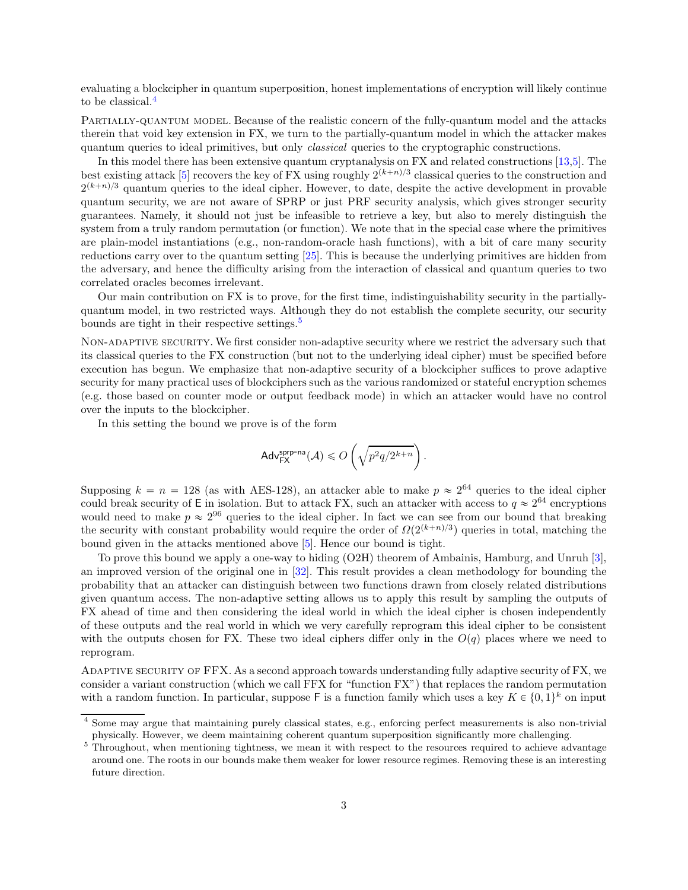evaluating a blockcipher in quantum superposition, honest implementations of encryption will likely continue to be classical.[4](#page-3-0)

Partially-quantum model. Because of the realistic concern of the fully-quantum model and the attacks therein that void key extension in FX, we turn to the partially-quantum model in which the attacker makes quantum queries to ideal primitives, but only classical queries to the cryptographic constructions.

In this model there has been extensive quantum cryptanalysis on FX and related constructions [\[13,](#page-24-5)[5\]](#page-24-1). The best existing attack [\[5\]](#page-24-1) recovers the key of FX using roughly  $2^{(k+n)/3}$  classical queries to the construction and  $2^{(k+n)/3}$  quantum queries to the ideal cipher. However, to date, despite the active development in provable quantum security, we are not aware of SPRP or just PRF security analysis, which gives stronger security guarantees. Namely, it should not just be infeasible to retrieve a key, but also to merely distinguish the system from a truly random permutation (or function). We note that in the special case where the primitives are plain-model instantiations (e.g., non-random-oracle hash functions), with a bit of care many security reductions carry over to the quantum setting [\[25\]](#page-25-8). This is because the underlying primitives are hidden from the adversary, and hence the difficulty arising from the interaction of classical and quantum queries to two correlated oracles becomes irrelevant.

Our main contribution on FX is to prove, for the first time, indistinguishability security in the partiallyquantum model, in two restricted ways. Although they do not establish the complete security, our security bounds are tight in their respective settings.<sup>[5](#page-3-1)</sup>

Non-adaptive security. We first consider non-adaptive security where we restrict the adversary such that its classical queries to the FX construction (but not to the underlying ideal cipher) must be specified before execution has begun. We emphasize that non-adaptive security of a blockcipher suffices to prove adaptive security for many practical uses of blockciphers such as the various randomized or stateful encryption schemes (e.g. those based on counter mode or output feedback mode) in which an attacker would have no control over the inputs to the blockcipher.

In this setting the bound we prove is of the form

$$
\mathsf{Adv}^{\mathsf{sprp-na}}_{\mathsf{FX}}(\mathcal{A}) \leqslant O\left(\sqrt{p^2q/2^{k+n}}\right).
$$

Supposing  $k = n = 128$  (as with AES-128), an attacker able to make  $p \approx 2^{64}$  queries to the ideal cipher could break security of E in isolation. But to attack FX, such an attacker with access to  $q \approx 2^{64}$  encryptions would need to make  $p \approx 2^{96}$  queries to the ideal cipher. In fact we can see from our bound that breaking the security with constant probability would require the order of  $\Omega(2^{(k+n)/3})$  queries in total, matching the bound given in the attacks mentioned above [\[5\]](#page-24-1). Hence our bound is tight.

To prove this bound we apply a one-way to hiding (O2H) theorem of Ambainis, Hamburg, and Unruh [\[3\]](#page-24-6), an improved version of the original one in [\[32\]](#page-25-9). This result provides a clean methodology for bounding the probability that an attacker can distinguish between two functions drawn from closely related distributions given quantum access. The non-adaptive setting allows us to apply this result by sampling the outputs of FX ahead of time and then considering the ideal world in which the ideal cipher is chosen independently of these outputs and the real world in which we very carefully reprogram this ideal cipher to be consistent with the outputs chosen for FX. These two ideal ciphers differ only in the  $O(q)$  places where we need to reprogram.

Adaptive security of FFX. As a second approach towards understanding fully adaptive security of FX, we consider a variant construction (which we call FFX for "function FX") that replaces the random permutation with a random function. In particular, suppose  $\mathsf F$  is a function family which uses a key  $K \in \{0, 1\}^k$  on input

<span id="page-3-0"></span><sup>4</sup> Some may argue that maintaining purely classical states, e.g., enforcing perfect measurements is also non-trivial physically. However, we deem maintaining coherent quantum superposition significantly more challenging.

<span id="page-3-1"></span><sup>&</sup>lt;sup>5</sup> Throughout, when mentioning tightness, we mean it with respect to the resources required to achieve advantage around one. The roots in our bounds make them weaker for lower resource regimes. Removing these is an interesting future direction.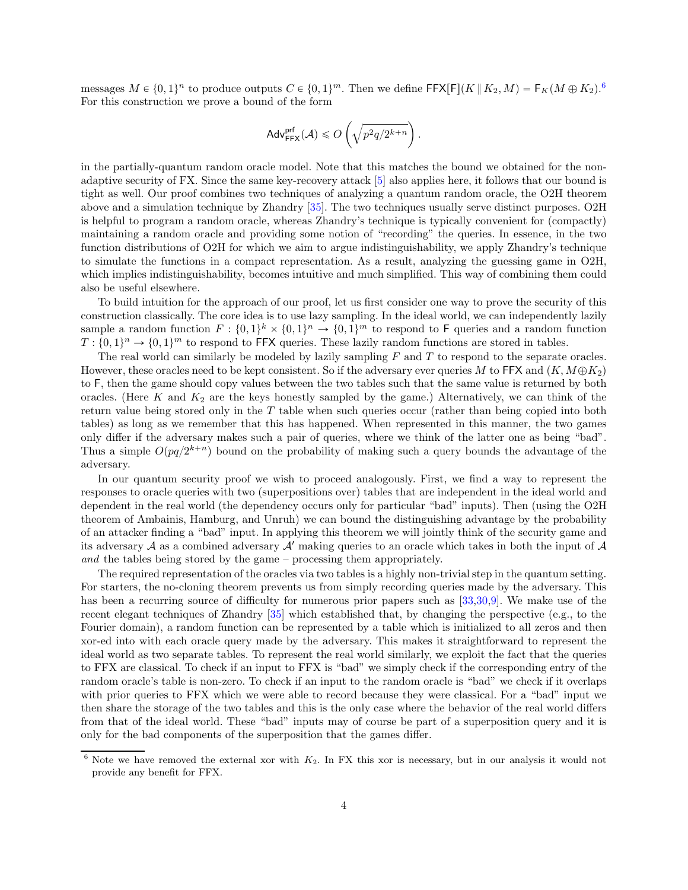messages  $M \in \{0, 1\}^n$  to produce outputs  $C \in \{0, 1\}^m$ . Then we define  $\textsf{FFX}[F](K \mid K_2, M) = \textsf{F}_K(M \oplus K_2)^6$  $\textsf{FFX}[F](K \mid K_2, M) = \textsf{F}_K(M \oplus K_2)^6$ . For this construction we prove a bound of the form

$$
\mathsf{Adv}_{\mathsf{FFX}}^{\mathsf{prf}}(\mathcal{A}) \leqslant O\left(\sqrt{p^2q/2^{k+n}}\right).
$$

in the partially-quantum random oracle model. Note that this matches the bound we obtained for the nonadaptive security of FX. Since the same key-recovery attack [\[5\]](#page-24-1) also applies here, it follows that our bound is tight as well. Our proof combines two techniques of analyzing a quantum random oracle, the O2H theorem above and a simulation technique by Zhandry [\[35\]](#page-25-10). The two techniques usually serve distinct purposes. O2H is helpful to program a random oracle, whereas Zhandry's technique is typically convenient for (compactly) maintaining a random oracle and providing some notion of "recording" the queries. In essence, in the two function distributions of O2H for which we aim to argue indistinguishability, we apply Zhandry's technique to simulate the functions in a compact representation. As a result, analyzing the guessing game in O2H, which implies indistinguishability, becomes intuitive and much simplified. This way of combining them could also be useful elsewhere.

To build intuition for the approach of our proof, let us first consider one way to prove the security of this construction classically. The core idea is to use lazy sampling. In the ideal world, we can independently lazily sample a random function  $F: \{0,1\}^k \times \{0,1\}^n \to \{0,1\}^m$  to respond to F queries and a random function  $T: \{0,1\}^n \to \{0,1\}^m$  to respond to FFX queries. These lazily random functions are stored in tables.

The real world can similarly be modeled by lazily sampling  $F$  and  $T$  to respond to the separate oracles. However, these oracles need to be kept consistent. So if the adversary ever queries M to FFX and  $(K, M \oplus K_2)$ to F, then the game should copy values between the two tables such that the same value is returned by both oracles. (Here  $K$  and  $K_2$  are the keys honestly sampled by the game.) Alternatively, we can think of the return value being stored only in the  $T$  table when such queries occur (rather than being copied into both tables) as long as we remember that this has happened. When represented in this manner, the two games only differ if the adversary makes such a pair of queries, where we think of the latter one as being "bad". Thus a simple  $O(pq/2^{k+n})$  bound on the probability of making such a query bounds the advantage of the adversary.

In our quantum security proof we wish to proceed analogously. First, we find a way to represent the responses to oracle queries with two (superpositions over) tables that are independent in the ideal world and dependent in the real world (the dependency occurs only for particular "bad" inputs). Then (using the O2H theorem of Ambainis, Hamburg, and Unruh) we can bound the distinguishing advantage by the probability of an attacker finding a "bad" input. In applying this theorem we will jointly think of the security game and its adversary A as a combined adversary  $A'$  making queries to an oracle which takes in both the input of A and the tables being stored by the game – processing them appropriately.

The required representation of the oracles via two tables is a highly non-trivial step in the quantum setting. For starters, the no-cloning theorem prevents us from simply recording queries made by the adversary. This has been a recurring source of difficulty for numerous prior papers such as [\[33](#page-25-11)[,30](#page-25-12)[,9\]](#page-24-7). We make use of the recent elegant techniques of Zhandry [\[35\]](#page-25-10) which established that, by changing the perspective (e.g., to the Fourier domain), a random function can be represented by a table which is initialized to all zeros and then xor-ed into with each oracle query made by the adversary. This makes it straightforward to represent the ideal world as two separate tables. To represent the real world similarly, we exploit the fact that the queries to FFX are classical. To check if an input to FFX is "bad" we simply check if the corresponding entry of the random oracle's table is non-zero. To check if an input to the random oracle is "bad" we check if it overlaps with prior queries to FFX which we were able to record because they were classical. For a "bad" input we then share the storage of the two tables and this is the only case where the behavior of the real world differs from that of the ideal world. These "bad" inputs may of course be part of a superposition query and it is only for the bad components of the superposition that the games differ.

<span id="page-4-0"></span> $6$  Note we have removed the external xor with  $K_2$ . In FX this xor is necessary, but in our analysis it would not provide any benefit for FFX.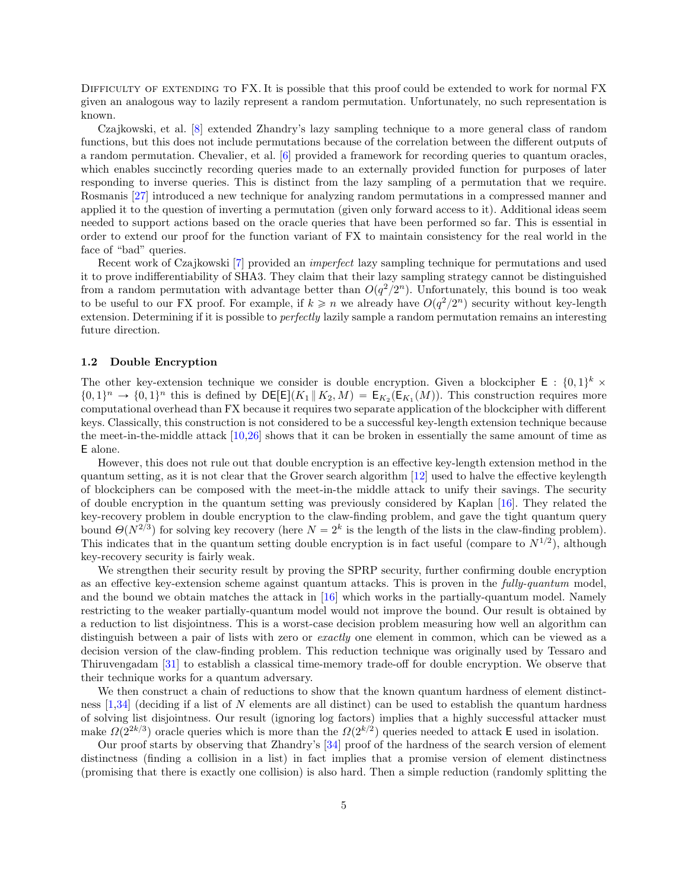DIFFICULTY OF EXTENDING TO FX. It is possible that this proof could be extended to work for normal FX given an analogous way to lazily represent a random permutation. Unfortunately, no such representation is known.

Czajkowski, et al. [\[8\]](#page-24-8) extended Zhandry's lazy sampling technique to a more general class of random functions, but this does not include permutations because of the correlation between the different outputs of a random permutation. Chevalier, et al. [\[6\]](#page-24-9) provided a framework for recording queries to quantum oracles, which enables succinctly recording queries made to an externally provided function for purposes of later responding to inverse queries. This is distinct from the lazy sampling of a permutation that we require. Rosmanis [\[27\]](#page-25-13) introduced a new technique for analyzing random permutations in a compressed manner and applied it to the question of inverting a permutation (given only forward access to it). Additional ideas seem needed to support actions based on the oracle queries that have been performed so far. This is essential in order to extend our proof for the function variant of FX to maintain consistency for the real world in the face of "bad" queries.

Recent work of Czajkowski [\[7\]](#page-24-10) provided an imperfect lazy sampling technique for permutations and used it to prove indifferentiability of SHA3. They claim that their lazy sampling strategy cannot be distinguished from a random permutation with advantage better than  $O(q^2/2^n)$ . Unfortunately, this bound is too weak to be useful to our FX proof. For example, if  $k \geq n$  we already have  $O(q^2/2^n)$  security without key-length extension. Determining if it is possible to *perfectly* lazily sample a random permutation remains an interesting future direction.

#### 1.2 Double Encryption

The other key-extension technique we consider is double encryption. Given a blockcipher  $E : \{0,1\}^k \times$  $\{0,1\}^n \to \{0,1\}^n$  this is defined by  $\mathsf{DE}[\mathsf{E}](K_1 \,|\, K_2, M) = \mathsf{E}_{K_2}(\mathsf{E}_{K_1}(M))$ . This construction requires more computational overhead than FX because it requires two separate application of the blockcipher with different keys. Classically, this construction is not considered to be a successful key-length extension technique because the meet-in-the-middle attack [\[10](#page-24-11)[,26\]](#page-25-14) shows that it can be broken in essentially the same amount of time as E alone.

However, this does not rule out that double encryption is an effective key-length extension method in the quantum setting, as it is not clear that the Grover search algorithm [\[12\]](#page-24-0) used to halve the effective keylength of blockciphers can be composed with the meet-in-the middle attack to unify their savings. The security of double encryption in the quantum setting was previously considered by Kaplan [\[16\]](#page-24-12). They related the key-recovery problem in double encryption to the claw-finding problem, and gave the tight quantum query bound  $\Theta(N^{2/3})$  for solving key recovery (here  $N = 2^k$  is the length of the lists in the claw-finding problem). This indicates that in the quantum setting double encryption is in fact useful (compare to  $N^{1/2}$ ), although key-recovery security is fairly weak.

We strengthen their security result by proving the SPRP security, further confirming double encryption as an effective key-extension scheme against quantum attacks. This is proven in the fully-quantum model, and the bound we obtain matches the attack in  $[16]$  which works in the partially-quantum model. Namely restricting to the weaker partially-quantum model would not improve the bound. Our result is obtained by a reduction to list disjointness. This is a worst-case decision problem measuring how well an algorithm can distinguish between a pair of lists with zero or *exactly* one element in common, which can be viewed as a decision version of the claw-finding problem. This reduction technique was originally used by Tessaro and Thiruvengadam [\[31\]](#page-25-15) to establish a classical time-memory trade-off for double encryption. We observe that their technique works for a quantum adversary.

We then construct a chain of reductions to show that the known quantum hardness of element distinctness [\[1,](#page-24-13)[34\]](#page-25-16) (deciding if a list of N elements are all distinct) can be used to establish the quantum hardness of solving list disjointness. Our result (ignoring log factors) implies that a highly successful attacker must make  $\Omega(2^{2k/3})$  oracle queries which is more than the  $\Omega(2^{k/2})$  queries needed to attack E used in isolation.

Our proof starts by observing that Zhandry's [\[34\]](#page-25-16) proof of the hardness of the search version of element distinctness (finding a collision in a list) in fact implies that a promise version of element distinctness (promising that there is exactly one collision) is also hard. Then a simple reduction (randomly splitting the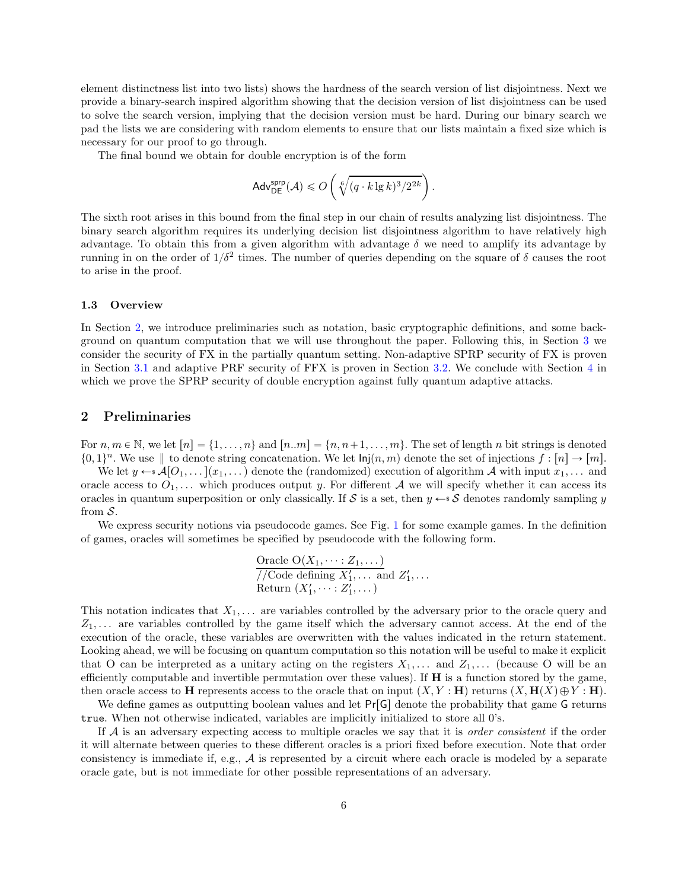element distinctness list into two lists) shows the hardness of the search version of list disjointness. Next we provide a binary-search inspired algorithm showing that the decision version of list disjointness can be used to solve the search version, implying that the decision version must be hard. During our binary search we pad the lists we are considering with random elements to ensure that our lists maintain a fixed size which is necessary for our proof to go through.

The final bound we obtain for double encryption is of the form

$$
\mathsf{Adv}_{\mathsf{DE}}^{\mathsf{supp}}(\mathcal{A}) \leqslant O\left(\sqrt[6]{(q \cdot k \lg k)^3 / 2^{2k}}\right).
$$

The sixth root arises in this bound from the final step in our chain of results analyzing list disjointness. The binary search algorithm requires its underlying decision list disjointness algorithm to have relatively high advantage. To obtain this from a given algorithm with advantage  $\delta$  we need to amplify its advantage by running in on the order of  $1/\delta^2$  times. The number of queries depending on the square of  $\delta$  causes the root to arise in the proof.

#### 1.3 Overview

In Section [2,](#page-6-0) we introduce preliminaries such as notation, basic cryptographic definitions, and some background on quantum computation that we will use throughout the paper. Following this, in Section [3](#page-9-0) we consider the security of FX in the partially quantum setting. Non-adaptive SPRP security of FX is proven in Section [3.1](#page-9-1) and adaptive PRF security of FFX is proven in Section [3.2.](#page-11-0) We conclude with Section [4](#page-18-0) in which we prove the SPRP security of double encryption against fully quantum adaptive attacks.

## <span id="page-6-0"></span>2 Preliminaries

For  $n, m \in \mathbb{N}$ , we let  $[n] = \{1, \ldots, n\}$  and  $[n..m] = \{n, n+1, \ldots, m\}$ . The set of length n bit strings is denoted  $\{0, 1\}^n$ . We use  $\parallel$  to denote string concatenation. We let  $\mathsf{Inj}(n, m)$  denote the set of injections  $f : [n] \to [m]$ .

We let  $y \leftarrow s\mathcal{A}[O_1, \ldots](x_1, \ldots)$  denote the (randomized) execution of algorithm A with input  $x_1, \ldots$  and oracle access to  $O_1, \ldots$  which produces output y. For different A we will specify whether it can access its oracles in quantum superposition or only classically. If S is a set, then  $y \leftarrow s$  S denotes randomly sampling y from  $S$ .

We express security notions via pseudocode games. See Fig. [1](#page-7-0) for some example games. In the definition of games, oracles will sometimes be specified by pseudocode with the following form.

Oracle 
$$
O(X_1, \dots; Z_1, \dots)
$$
  
//Code defining  $X'_1, \dots$  and  $Z'_1, \dots$   
Return  $(X'_1, \dots; Z'_1, \dots)$ 

This notation indicates that  $X_1, \ldots$  are variables controlled by the adversary prior to the oracle query and  $Z_1, \ldots$  are variables controlled by the game itself which the adversary cannot access. At the end of the execution of the oracle, these variables are overwritten with the values indicated in the return statement. Looking ahead, we will be focusing on quantum computation so this notation will be useful to make it explicit that O can be interpreted as a unitary acting on the registers  $X_1, \ldots$  and  $Z_1, \ldots$  (because O will be an efficiently computable and invertible permutation over these values). If  $H$  is a function stored by the game, then oracle access to H represents access to the oracle that on input  $(X, Y : H)$  returns  $(X, H(X) \oplus Y : H)$ .

We define games as outputting boolean values and let  $Pr[G]$  denote the probability that game G returns true. When not otherwise indicated, variables are implicitly initialized to store all 0's.

If  $A$  is an adversary expecting access to multiple oracles we say that it is *order consistent* if the order it will alternate between queries to these different oracles is a priori fixed before execution. Note that order consistency is immediate if, e.g.,  $A$  is represented by a circuit where each oracle is modeled by a separate oracle gate, but is not immediate for other possible representations of an adversary.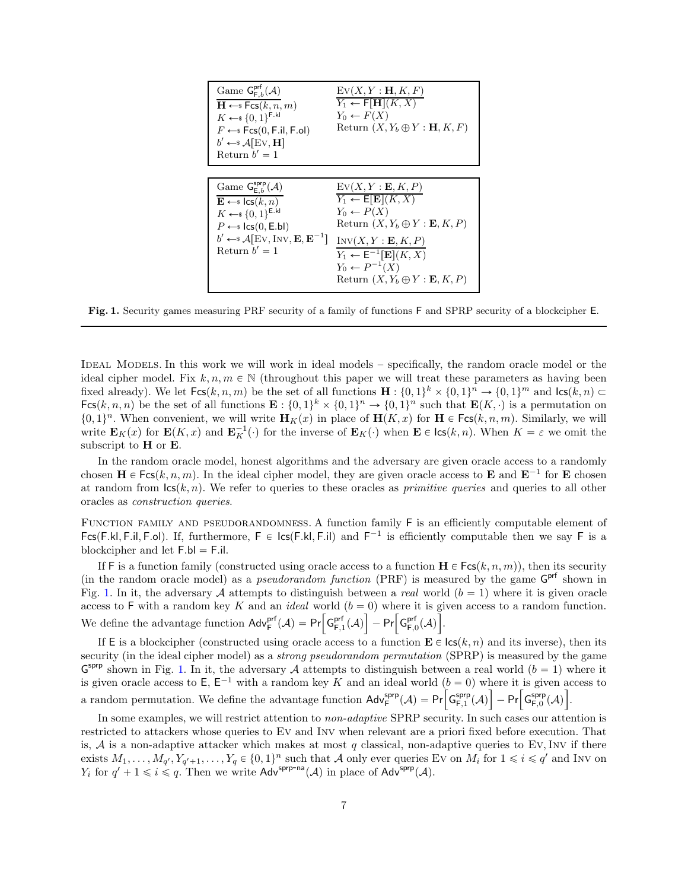| Game $G_{F, b}^{prt}(\mathcal{A})$<br>$\mathbf{H} \leftarrow$ Fcs $(k, n, m)$<br>$K \leftarrow \{0,1\}^{F.kl}$<br>$F \leftarrow s \textsf{Fcs}(0, \textsf{F}.\textsf{il}, \textsf{F}.\textsf{ol})$<br>$b' \leftarrow \mathcal{A}[\text{Ev}, \textbf{H}]$<br>Return $b'=1$ | EV(X, Y : H, K, F)<br>$Y_1 \leftarrow$ F[H](K, X)<br>$Y_0 \leftarrow F(X)$<br>Return $(X, Y_b \oplus Y : \mathbf{H}, K, F)$                                                                                                                                          |
|---------------------------------------------------------------------------------------------------------------------------------------------------------------------------------------------------------------------------------------------------------------------------|----------------------------------------------------------------------------------------------------------------------------------------------------------------------------------------------------------------------------------------------------------------------|
|                                                                                                                                                                                                                                                                           |                                                                                                                                                                                                                                                                      |
| Game $G_{E,b}^{sprp}(\mathcal{A})$<br>$\mathbf{E} \leftarrow$ s lcs $(k, n)$<br>$K \leftarrow \{0,1\}^{E.kl}$<br>$P \leftarrow s \text{lcs}(0, \text{E}, \text{bl})$<br>$b' \leftarrow \mathcal{A}[\text{Ev}, \text{Inv}, \mathbf{E}, \mathbf{E}^{-1}]$<br>Return $b'=1$  | EV(X, Y : E, K, P)<br>$Y_1 \leftarrow E[E](K, X)$<br>$Y_0 \leftarrow P(X)$<br>Return $(X, Y_b \oplus Y : E, K, P)$<br>INV(X, Y : E, K, P)<br>$Y_1 \leftarrow \mathsf{E}^{-1}[\mathbf{E}](K,X)$<br>$Y_0 \leftarrow P^{-1}(X)$<br>Return $(X, Y_b \oplus Y : E, K, P)$ |

<span id="page-7-0"></span>Fig. 1. Security games measuring PRF security of a family of functions F and SPRP security of a blockcipher E.

IDEAL MODELS. In this work we will work in ideal models – specifically, the random oracle model or the ideal cipher model. Fix  $k, n, m \in \mathbb{N}$  (throughout this paper we will treat these parameters as having been fixed already). We let  $\mathsf{Fcs}(k, n, m)$  be the set of all functions  $\mathbf{H} : \{0, 1\}^k \times \{0, 1\}^n \to \{0, 1\}^m$  and  $\mathsf{lcs}(k, n) \subset$  $\mathsf{Fcs}(k,n,n)$  be the set of all functions  $\mathbf{E}: \{0,1\}^k \times \{0,1\}^n \to \{0,1\}^n$  such that  $\mathbf{E}(K, \cdot)$  is a permutation on  $\{0, 1\}^n$ . When convenient, we will write  $\mathbf{H}_K(x)$  in place of  $\mathbf{H}(K, x)$  for  $\mathbf{H} \in \text{Fcs}(k, n, m)$ . Similarly, we will write  $\mathbf{E}_K(x)$  for  $\mathbf{E}(K, x)$  and  $\mathbf{E}_K^{-1}(\cdot)$  for the inverse of  $\mathbf{E}_K(\cdot)$  when  $\mathbf{E} \in \textsf{lcs}(k, n)$ . When  $K = \varepsilon$  we omit the subscript to **H** or **E**.

In the random oracle model, honest algorithms and the adversary are given oracle access to a randomly chosen  $\mathbf{H} \in \text{Fcs}(k, n, m)$ . In the ideal cipher model, they are given oracle access to E and  $\mathbf{E}^{-1}$  for E chosen at random from  $\textsf{lcs}(k, n)$ . We refer to queries to these oracles as *primitive queries* and queries to all other oracles as construction queries.

FUNCTION FAMILY AND PSEUDORANDOMNESS. A function family F is an efficiently computable element of Fcs(F.kl, F.il, F.ol). If, furthermore,  $F \in \text{lcs}(F.kl, F.il)$  and  $F^{-1}$  is efficiently computable then we say F is a blockcipher and let  $F.b$   $=$   $F.i$  $I.$ 

If F is a function family (constructed using oracle access to a function  $\mathbf{H} \in \text{Fcs}(k, n, m)$ ), then its security (in the random oracle model) as a *pseudorandom function* (PRF) is measured by the game  $G<sup>prf</sup>$  shown in Fig. [1.](#page-7-0) In it, the adversary A attempts to distinguish between a real world  $(b = 1)$  where it is given oracle access to F with a random key K and an *ideal* world  $(b = 0)$  where it is given access to a random function. We define the advantage function  $\mathsf{Adv}_{\mathsf{F}}^{\mathsf{prf}}(\mathcal{A}) = \mathsf{Pr}\Big[\mathsf{G}_{\mathsf{F},1}^{\mathsf{prf}}(\mathcal{A})\Big] - \mathsf{Pr}\Big[\mathsf{G}_{\mathsf{F},0}^{\mathsf{prf}}(\mathcal{A})\Big].$ 

If E is a blockcipher (constructed using oracle access to a function  $\mathbf{E} \in \textsf{lcs}(k, n)$  and its inverse), then its security (in the ideal cipher model) as a *strong pseudorandom permutation* (SPRP) is measured by the game  $G^{sprp}$  shown in Fig. [1.](#page-7-0) In it, the adversary A attempts to distinguish between a real world  $(b = 1)$  where it is given oracle access to  $E$ ,  $E^{-1}$  with a random key K and an ideal world  $(b = 0)$  where it is given access to a random permutation. We define the advantage function  $\mathsf{Adv}_{\mathsf{F}}^{\mathsf{sppp}}(\mathcal{A}) = \mathsf{Pr} \Big[ \mathsf{G}_{\mathsf{F},1}^{\mathsf{sppp}}(\mathcal{A}) \Big] - \mathsf{Pr} \Big[ \mathsf{G}_{\mathsf{F},0}^{\mathsf{sppp}}(\mathcal{A}) \Big].$ 

In some examples, we will restrict attention to *non-adaptive* SPRP security. In such cases our attention is restricted to attackers whose queries to Ev and Inv when relevant are a priori fixed before execution. That is,  $A$  is a non-adaptive attacker which makes at most q classical, non-adaptive queries to Ev, Inv if there exists  $M_1, \ldots, M_{q'}$ ,  $Y_{q'+1}, \ldots, Y_q \in \{0, 1\}^n$  such that A only ever queries Ev on  $M_i$  for  $1 \leq i \leq q'$  and Inv on  $Y_i$  for  $q' + 1 \leq i \leq q$ . Then we write  $\mathsf{Adv}^{\textsf{sprp-na}}(\mathcal{A})$  in place of  $\mathsf{Adv}^{\textsf{sprp}}(\mathcal{A})$ .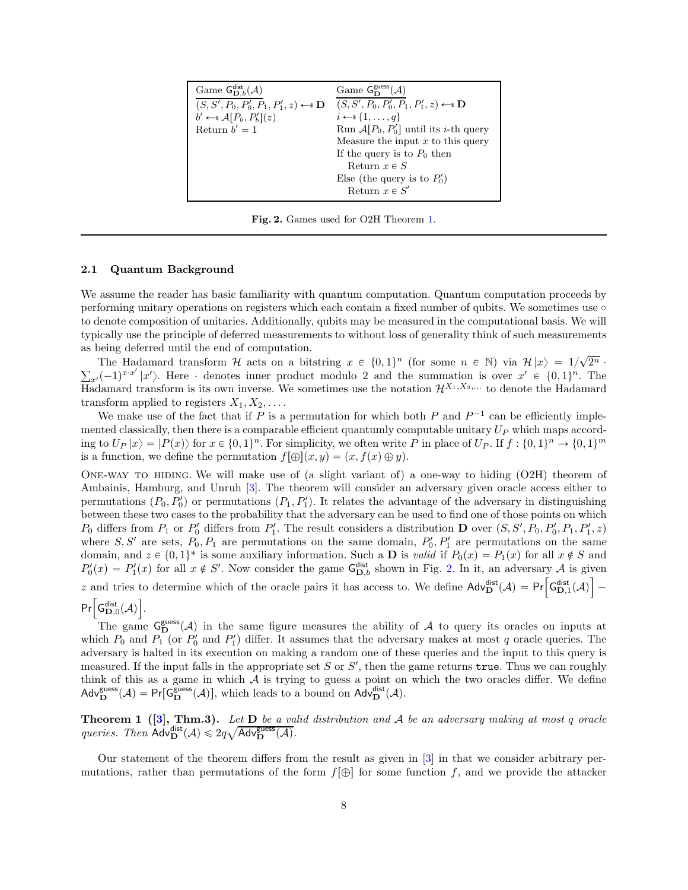| Game $G_{\mathbf{D},b}^{\text{dist}}(\mathcal{A})$                  | Game $G_{\mathbf{D}}^{\text{guess}}(\mathcal{A})$                 |
|---------------------------------------------------------------------|-------------------------------------------------------------------|
| $(S, S', P_0, P'_0, P_1, P'_1, z) \leftarrow \mathbb{S} \mathbf{D}$ | $(S, S', P_0, P'_0, P_1, P'_1, z) \leftarrow \mathbb{S}$ <b>D</b> |
| $b' \leftarrow \mathcal{A}[P_b, P_b'](z)$                           | $i \leftarrow s \{1, \ldots, q\}$                                 |
| Return $b'=1$                                                       | Run $A[P_0, P'_0]$ until its <i>i</i> -th query                   |
|                                                                     | Measure the input $x$ to this query                               |
|                                                                     | If the query is to $P_0$ then                                     |
|                                                                     | Return $x \in S$                                                  |
|                                                                     | Else (the query is to $P'_0$ )                                    |
|                                                                     | Return $x \in S'$                                                 |
|                                                                     |                                                                   |

<span id="page-8-1"></span>Fig. 2. Games used for O2H Theorem [1.](#page-8-0)

#### <span id="page-8-2"></span>2.1 Quantum Background

We assume the reader has basic familiarity with quantum computation. Quantum computation proceeds by performing unitary operations on registers which each contain a fixed number of qubits. We sometimes use  $\circ$ to denote composition of unitaries. Additionally, qubits may be measured in the computational basis. We will typically use the principle of deferred measurements to without loss of generality think of such measurements as being deferred until the end of computation.

The Hadamard transform H acts on a bitstring  $x \in \{0, 1\}^n$  (for some  $n \in \mathbb{N}$ ) via  $\mathcal{H}|x\rangle = 1/\sqrt{2^n} \cdot \sum_{x'} (-1)^{x \cdot x'} |x'\rangle$ . Here characterise inner product modulo 2 and the summation is over  $x' \in \{0, 1\}^n$ . The Hadamard transform is its own inverse. We sometimes use the notation  $\mathcal{H}^{X_1,X_2,\ldots}$  to denote the Hadamard transform applied to registers  $X_1, X_2, \ldots$ .

We make use of the fact that if P is a permutation for which both P and  $P^{-1}$  can be efficiently implemented classically, then there is a comparable efficient quantumly computable unitary  $U_P$  which maps according to  $U_P |x\rangle = |P(x)\rangle$  for  $x \in \{0, 1\}^n$ . For simplicity, we often write P in place of  $U_P$ . If  $f : \{0, 1\}^n \to \{0, 1\}^m$ is a function, we define the permutation  $f[\oplus](x, y) = (x, f(x) \oplus y)$ .

One-way to hiding. We will make use of (a slight variant of) a one-way to hiding (O2H) theorem of Ambainis, Hamburg, and Unruh [\[3\]](#page-24-6). The theorem will consider an adversary given oracle access either to permutations  $(P_0, P'_0)$  or permutations  $(P_1, P'_1)$ . It relates the advantage of the adversary in distinguishing between these two cases to the probability that the adversary can be used to find one of those points on which  $P_0$  differs from  $P_1$  or  $P_0'$  differs from  $P_1'$ . The result considers a distribution **D** over  $(S, S', P_0, P_0', P_1, P_1', z)$ where  $S, S'$  are sets,  $P_0, P_1$  are permutations on the same domain,  $P'_0, P'_1$  are permutations on the same domain, and  $z \in \{0, 1\}^*$  is some auxiliary information. Such a **D** is valid if  $P_0(x) = P_1(x)$  for all  $x \notin S$  and  $P'_0(x) = P'_1(x)$  for all  $x \notin S'$ . Now consider the game  $G_{D,b}^{\text{dist}}$  shown in Fig. [2.](#page-8-1) In it, an adversary A is given z and tries to determine which of the oracle pairs it has access to. We define  $\text{Adv}_{D}^{\text{dist}}(\mathcal{A}) = \text{Pr}\left[\text{G}_{D,1}^{\text{dist}}(\mathcal{A})\right]$  $\overline{\phantom{0}}$ 

## $Pr \Big[{\sf G}_{\bf D,0}^{\sf dist}(\mathcal{A})\Big].$

The game  $G_{\mathbf{D}}^{\text{guess}}(A)$  in the same figure measures the ability of A to query its oracles on inputs at which  $P_0$  and  $P_1$  (or  $P'_0$  and  $P'_1$ ) differ. It assumes that the adversary makes at most q oracle queries. The adversary is halted in its execution on making a random one of these queries and the input to this query is measured. If the input falls in the appropriate set S or S', then the game returns  $true$ . Thus we can roughly think of this as a game in which  $A$  is trying to guess a point on which the two oracles differ. We define  $\mathsf{Adv}_{\mathbf{D}}^{\mathsf{guess}}(\mathcal{A}) = \mathsf{Pr}[\mathsf{G}_{\mathbf{D}}^{\mathsf{guess}}(\mathcal{A})],$  which leads to a bound on  $\mathsf{Adv}_{\mathbf{D}}^{\mathsf{dist}}(\mathcal{A}).$ 

<span id="page-8-0"></span>**Theorem 1** ([\[3\]](#page-24-6), Thm.3). Let D be a valid distribution and A be an adversary making at most q oracle queries. Then  $\text{Adv}_{\mathbf{D}}^{\text{dist}}(\mathcal{A}) \leqslant 2q\sqrt{\text{Adv}_{\mathbf{D}}^{\text{guess}}(\mathcal{A})}.$ 

Our statement of the theorem differs from the result as given in [\[3\]](#page-24-6) in that we consider arbitrary permutations, rather than permutations of the form  $f[\oplus]$  for some function f, and we provide the attacker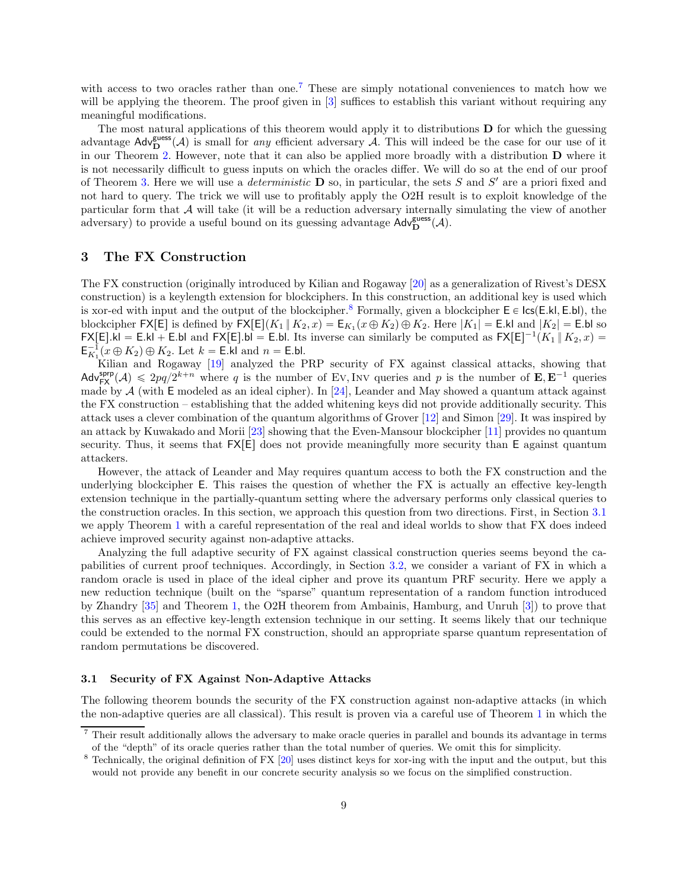with access to two oracles rather than one.<sup>[7](#page-9-2)</sup> These are simply notational conveniences to match how we will be applying the theorem. The proof given in [\[3\]](#page-24-6) suffices to establish this variant without requiring any meaningful modifications.

The most natural applications of this theorem would apply it to distributions D for which the guessing advantage  $\mathsf{Adv}_{\mathbf{D}}^{\mathsf{guess}}(\mathcal{A})$  is small for *any* efficient adversary  $\mathcal{A}$ . This will indeed be the case for our use of it in our Theorem [2.](#page-10-0) However, note that it can also be applied more broadly with a distribution D where it is not necessarily difficult to guess inputs on which the oracles differ. We will do so at the end of our proof of Theorem [3.](#page-11-1) Here we will use a *deterministic*  $\bf{D}$  so, in particular, the sets S and S' are a priori fixed and not hard to query. The trick we will use to profitably apply the O2H result is to exploit knowledge of the particular form that A will take (it will be a reduction adversary internally simulating the view of another adversary) to provide a useful bound on its guessing advantage  $\mathsf{Adv}_{\mathbf{D}}^{\mathsf{guess}}(\mathcal{A})$ .

## <span id="page-9-0"></span>3 The FX Construction

The FX construction (originally introduced by Kilian and Rogaway [\[20\]](#page-25-3) as a generalization of Rivest's DESX construction) is a keylength extension for blockciphers. In this construction, an additional key is used which is xor-ed with input and the output of the blockcipher.<sup>[8](#page-9-3)</sup> Formally, given a blockcipher  $E \in \textsf{lc}(E.kI, E.bI)$ , the blockcipher  $\mathsf{FX}[E]$  is defined by  $\mathsf{FX}[E](K_1 \parallel K_2, x) = \mathsf{E}_{K_1}(x \oplus K_2) \oplus K_2$ . Here  $|K_1| = \mathsf{E}$ .kl and  $|K_2| = \mathsf{E}$ .bl so  $FX[E].kl = E.kl + E.bl$  and  $FX[E].bl = E.bl$ . Its inverse can similarly be computed as  $FX[E]^{-1}(K_1 \parallel K_2, x) =$  $E_{K_1}^{-1}(x \oplus K_2) \oplus K_2$ . Let  $k =$  E.kl and  $n =$  E.bl.

Kilian and Rogaway [\[19\]](#page-25-17) analyzed the PRP security of FX against classical attacks, showing that  $\mathsf{Adv}_{\mathsf{FX}}^{\mathsf{sprp}}(\mathcal{A}) \leqslant 2pq/2^{k+n}$  where q is the number of Ev, Inv queries and p is the number of  $\mathbf{E}, \mathbf{E}^{-1}$  queries made by  $A$  (with E modeled as an ideal cipher). In [\[24\]](#page-25-4), Leander and May showed a quantum attack against the FX construction – establishing that the added whitening keys did not provide additionally security. This attack uses a clever combination of the quantum algorithms of Grover [\[12\]](#page-24-0) and Simon [\[29\]](#page-25-18). It was inspired by an attack by Kuwakado and Morii [\[23\]](#page-25-1) showing that the Even-Mansour blockcipher [\[11\]](#page-24-4) provides no quantum security. Thus, it seems that  $FX|E|$  does not provide meaningfully more security than E against quantum attackers.

However, the attack of Leander and May requires quantum access to both the FX construction and the underlying blockcipher E. This raises the question of whether the FX is actually an effective key-length extension technique in the partially-quantum setting where the adversary performs only classical queries to the construction oracles. In this section, we approach this question from two directions. First, in Section [3.1](#page-9-1) we apply Theorem [1](#page-8-0) with a careful representation of the real and ideal worlds to show that FX does indeed achieve improved security against non-adaptive attacks.

Analyzing the full adaptive security of FX against classical construction queries seems beyond the capabilities of current proof techniques. Accordingly, in Section [3.2,](#page-11-0) we consider a variant of FX in which a random oracle is used in place of the ideal cipher and prove its quantum PRF security. Here we apply a new reduction technique (built on the "sparse" quantum representation of a random function introduced by Zhandry [\[35\]](#page-25-10) and Theorem [1,](#page-8-0) the O2H theorem from Ambainis, Hamburg, and Unruh [\[3\]](#page-24-6)) to prove that this serves as an effective key-length extension technique in our setting. It seems likely that our technique could be extended to the normal FX construction, should an appropriate sparse quantum representation of random permutations be discovered.

#### <span id="page-9-1"></span>3.1 Security of FX Against Non-Adaptive Attacks

The following theorem bounds the security of the FX construction against non-adaptive attacks (in which the non-adaptive queries are all classical). This result is proven via a careful use of Theorem [1](#page-8-0) in which the

<sup>&</sup>lt;sup>7</sup> Their result additionally allows the adversary to make oracle queries in parallel and bounds its advantage in terms of the "depth" of its oracle queries rather than the total number of queries. We omit this for simplicity.

<span id="page-9-3"></span><span id="page-9-2"></span><sup>&</sup>lt;sup>8</sup> Technically, the original definition of FX [\[20\]](#page-25-3) uses distinct keys for xor-ing with the input and the output, but this would not provide any benefit in our concrete security analysis so we focus on the simplified construction.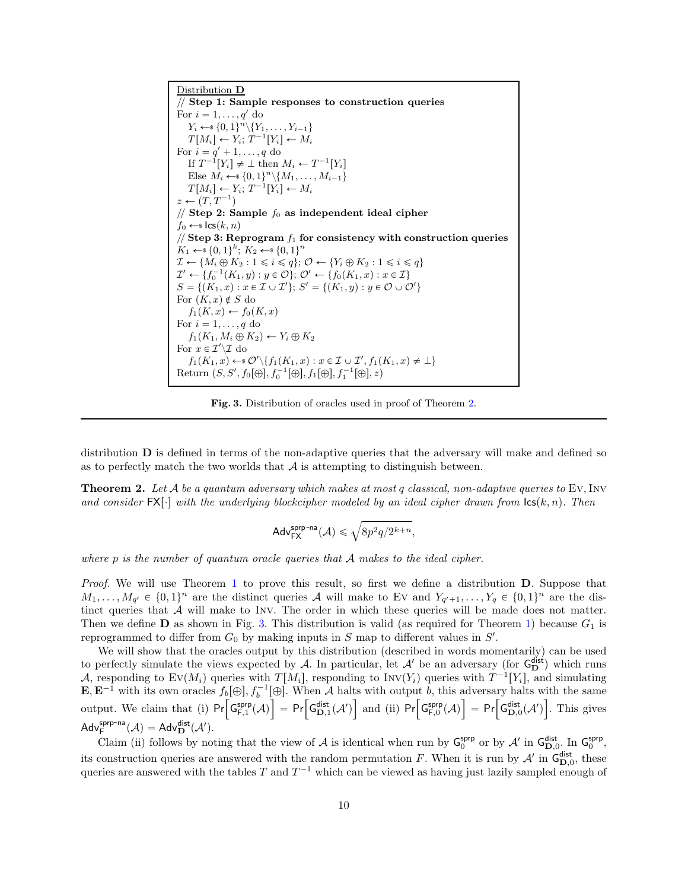Distribution D // Step 1: Sample responses to construction queries For  $i = 1, \ldots, q'$  do  $Y_i \leftarrow \{0, 1\}^n \setminus \{Y_1, \ldots, Y_{i-1}\}$  $T[M_i] \leftarrow Y_i; T^{-1}[Y_i] \leftarrow M_i$ For  $i = q' + 1, \ldots, q$  do If  $T^{-1}[Y_i] \neq \perp$  then  $M_i \leftarrow T^{-1}[Y_i]$ Else  $M_i \leftarrow \{0,1\}^n \setminus \{M_1, \ldots, M_{i-1}\}$  $T[M_i] \leftarrow Y_i; T^{-1}[Y_i] \leftarrow M_i$  $z \leftarrow (T, T^{-1})$ // Step 2: Sample  $f_0$  as independent ideal cipher  $f_0 \leftarrow s \textsf{lcs}(k, n)$ // Step 3: Reprogram  $f_1$  for consistency with construction queries  $K_1 \leftarrow \{0, 1\}^k; K_2 \leftarrow \{0, 1\}^n$  $\mathcal{I} \leftarrow \{M_i \oplus K_2 : 1 \leq i \leq q\}; \mathcal{O} \leftarrow \{Y_i \oplus K_2 : 1 \leq i \leq q\}$  $\mathcal{I}' \leftarrow \{f_0^{-1}(K_1, y) : y \in \mathcal{O}\}; \mathcal{O}' \leftarrow \{f_0(K_1, x) : x \in \mathcal{I}\}\$  $S = \{ (K_1, x) : x \in \mathcal{I} \cup \mathcal{I}' \}; S' = \{ (K_1, y) : y \in \mathcal{O} \cup \mathcal{O}' \}$ For  $(K, x) \notin S$  do  $f_1(K, x) \leftarrow f_0(K, x)$ For  $i = 1, \ldots, q$  do  $f_1(K_1, M_i \oplus K_2) \leftarrow Y_i \oplus K_2$ For  $x \in \mathcal{I}'\backslash \mathcal{I}$  do  $f_1(K_1, x) \leftarrow \emptyset' \setminus \{f_1(K_1, x) : x \in \mathcal{I} \cup \mathcal{I}', f_1(K_1, x) \neq \bot\}$ Return  $(S, S', f_0[\oplus], f_0^{-1}[\oplus], f_1[\oplus], f_1^{-1}[\oplus], z)$ 

<span id="page-10-1"></span>Fig. 3. Distribution of oracles used in proof of Theorem [2.](#page-10-0)

distribution D is defined in terms of the non-adaptive queries that the adversary will make and defined so as to perfectly match the two worlds that  $A$  is attempting to distinguish between.

**Theorem 2.** Let  $A$  be a quantum adversary which makes at most q classical, non-adaptive queries to Ev, Inv and consider  $\mathsf{FX}[\cdot]$  with the underlying blockcipher modeled by an ideal cipher drawn from  $\mathsf{lcs}(k, n)$ . Then

<span id="page-10-0"></span>
$$
\mathsf{Adv}_{\mathsf{FX}}^{\mathsf{sprp\text{-}na}}(\mathcal{A}) \leqslant \sqrt{8p^2q/2^{k+n}},
$$

where p is the number of quantum oracle queries that  $A$  makes to the ideal cipher.

Proof. We will use Theorem [1](#page-8-0) to prove this result, so first we define a distribution **D**. Suppose that  $M_1, \ldots, M_{q'} \in \{0,1\}^n$  are the distinct queries A will make to Ev and  $Y_{q'+1}, \ldots, Y_q \in \{0,1\}^n$  are the distinct queries that  $A$  will make to INV. The order in which these queries will be made does not matter. Then we define **D** as shown in Fig. [3.](#page-10-1) This distribution is valid (as required for Theorem [1\)](#page-8-0) because  $G_1$  is reprogrammed to differ from  $G_0$  by making inputs in S map to different values in  $S'$ .

We will show that the oracles output by this distribution (described in words momentarily) can be used to perfectly simulate the views expected by A. In particular, let  $\mathcal{A}'$  be an adversary (for  $G_D^{\text{dist}}$ ) which runs A, responding to  $EV(M_i)$  queries with  $T[M_i]$ , responding to  $INV(Y_i)$  queries with  $T^{-1}[Y_i]$ , and simulating  $\mathbf{E}, \mathbf{E}^{-1}$  with its own oracles  $f_b[\oplus], f_b^{-1}[\oplus]$ . When A halts with output b, this adversary halts with the same output. We claim that (i)  $Pr\left[\mathsf{G}_{\mathsf{F},1}^{\mathsf{sprp}}(\mathcal{A})\right] = Pr\left[\mathsf{G}_{\mathsf{D},1}^{\mathsf{dist}}(\mathcal{A}')\right]$ and (ii)  $Pr\left[G_{F,0}^{sprp}(\mathcal{A})\right] = Pr\left[G_{\mathbf{D},0}^{\text{dist}}(\mathcal{A}')\right]$ ı . This gives  $\mathsf{Adv}_{\mathsf{F}}^{\mathsf{sprp-na}}(\mathcal{A}) = \mathsf{Adv}_{\mathbf{D}}^{\mathsf{dist}}(\mathcal{A}').$ 

Claim (ii) follows by noting that the view of A is identical when run by  $\mathsf{G}_{0}^{\textsf{sprp}}$  or by  $\mathcal{A}'$  in  $\mathsf{G}_{D,0}^{\textsf{dist}}$ . In  $\mathsf{G}_{0}^{\textsf{sprp}}$ , its construction queries are answered with the random permutation F. When it is run by  $\mathcal{A}'$  in  $\mathsf{G}_{\mathbf{D},0}^{\text{dist}}$ , these queries are answered with the tables T and  $T^{-1}$  which can be viewed as having just lazily sampled enough of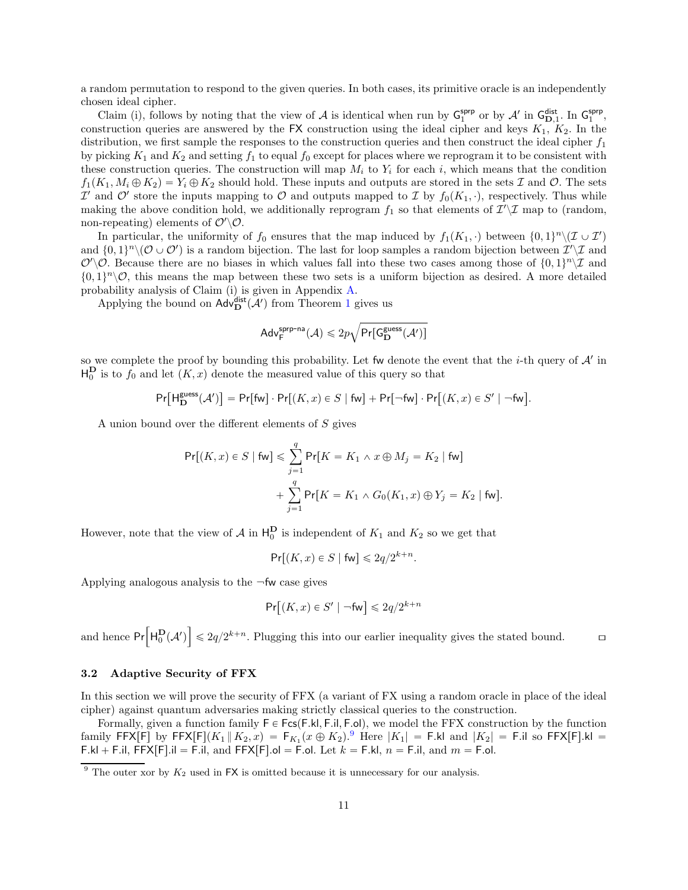a random permutation to respond to the given queries. In both cases, its primitive oracle is an independently chosen ideal cipher.

Claim (i), follows by noting that the view of A is identical when run by  $G_1^{sprp}$  or by A' in  $G_{D,1}^{sir}$ . In  $G_1^{sprp}$ , construction queries are answered by the FX construction using the ideal cipher and keys  $K_1$ ,  $K_2$ . In the distribution, we first sample the responses to the construction queries and then construct the ideal cipher  $f_1$ by picking  $K_1$  and  $K_2$  and setting  $f_1$  to equal  $f_0$  except for places where we reprogram it to be consistent with these construction queries. The construction will map  $M_i$  to  $Y_i$  for each i, which means that the condition  $f_1(K_1, M_i \oplus K_2) = Y_i \oplus K_2$  should hold. These inputs and outputs are stored in the sets I and O. The sets  $\mathcal{I}'$  and  $\mathcal{O}'$  store the inputs mapping to  $\mathcal O$  and outputs mapped to  $\mathcal I$  by  $f_0(K_1, \cdot)$ , respectively. Thus while making the above condition hold, we additionally reprogram  $f_1$  so that elements of  $\mathcal{I}'\setminus\mathcal{I}$  map to (random, non-repeating) elements of  $\mathcal{O}'\backslash\mathcal{O}$ .

In particular, the uniformity of  $f_0$  ensures that the map induced by  $f_1(K_1, \cdot)$  between  $\{0, 1\}^n \setminus (\mathcal{I} \cup \mathcal{I}')$ and  $\{0,1\}^n \setminus (\mathcal{O} \cup \mathcal{O}')$  is a random bijection. The last for loop samples a random bijection between  $\mathcal{I}' \setminus \mathcal{I}$  and  $\mathcal{O}'\setminus\mathcal{O}$ . Because there are no biases in which values fall into these two cases among those of  $\{0,1\}^n\setminus\mathcal{I}$  and  $\{0, 1\}^n \setminus \mathcal{O}$ , this means the map between these two sets is a uniform bijection as desired. A more detailed probability analysis of Claim (i) is given in Appendix [A.](#page-25-19)

Applying the bound on  $\mathsf{Adv}_{\mathbf{D}}^{\mathsf{dist}}(\mathcal{A}')$  from Theorem [1](#page-8-0) gives us

$$
\mathsf{Adv}^{\mathsf{spp\text{-}na}}_{\mathsf{F}}(\mathcal{A}) \leqslant 2p\sqrt{\mathsf{Pr}[\mathsf{G}^{\mathsf{guess}}_{\mathbf{D}}(\mathcal{A}')]}
$$

so we complete the proof by bounding this probability. Let fw denote the event that the *i*-th query of  $A'$  in  $H_0^{\mathbf{D}}$  is to  $f_0$  and let  $(K, x)$  denote the measured value of this query so that

$$
\Pr[\mathsf{H}_{\mathbf{D}}^{\mathsf{guess}}(\mathcal{A}')] = \Pr[\mathsf{fw}] \cdot \Pr[(K, x) \in S \mid \mathsf{fw}] + \Pr[\neg \mathsf{fw}] \cdot \Pr[(K, x) \in S' \mid \neg \mathsf{fw}].
$$

A union bound over the different elements of S gives

$$
\Pr[(K, x) \in S \mid \text{fw}] \le \sum_{j=1}^{q} \Pr[K = K_1 \land x \oplus M_j = K_2 \mid \text{fw}] \\
+ \sum_{j=1}^{q} \Pr[K = K_1 \land G_0(K_1, x) \oplus Y_j = K_2 \mid \text{fw}].
$$

However, note that the view of  $\mathcal A$  in  $\mathsf{H}_0^{\mathbf{D}}$  is independent of  $K_1$  and  $K_2$  so we get that

 $Pr[(K, x) \in S \mid \text{fw}] \leqslant 2q/2^{k+n}.$ 

Applying analogous analysis to the  $\neg$ fw case gives

$$
\Pr\bigl[(K,x)\in S'\mid \neg \mathsf{fw}\bigr]\leqslant 2q/2^{k+n}
$$

and hence  $Pr\left[H_0^{\mathbf{D}}(\mathcal{A}')\right]$  $\vert \leq 2q/2^{k+n}$ . Plugging this into our earlier inequality gives the stated bound.  $\Box$ 

#### <span id="page-11-0"></span>3.2 Adaptive Security of FFX

In this section we will prove the security of FFX (a variant of FX using a random oracle in place of the ideal cipher) against quantum adversaries making strictly classical queries to the construction.

Formally, given a function family  $F \in Fcs(F.kI, F.iI, F.oI)$ , we model the FFX construction by the function family  $FFX[F]$  by  $FFX[F](K_1 \parallel K_2, x) = F_{K_1}(x \oplus K_2)^{9}$  $FFX[F](K_1 \parallel K_2, x) = F_{K_1}(x \oplus K_2)^{9}$  $FFX[F](K_1 \parallel K_2, x) = F_{K_1}(x \oplus K_2)^{9}$  Here  $|K_1| = F$ .kl and  $|K_2| = F$ .il so  $FFX[F]$ .kl = F.kl + F.il, FFX[F].il = F.il, and FFX[F].ol = F.ol. Let  $k =$  F.kl,  $n =$  F.il, and  $m =$  F.ol.

<span id="page-11-2"></span><span id="page-11-1"></span> $9$  The outer xor by  $K_2$  used in FX is omitted because it is unnecessary for our analysis.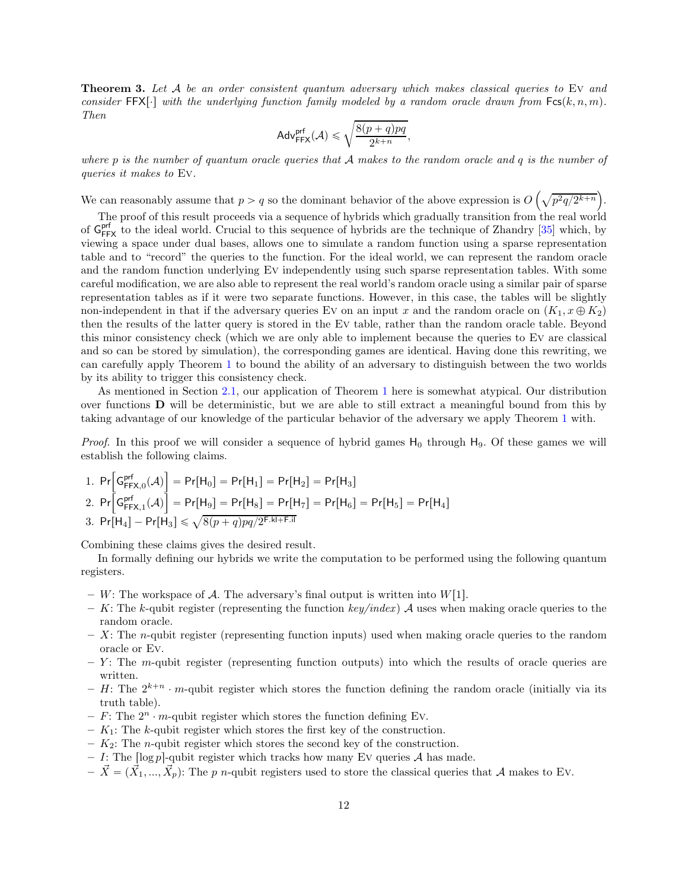**Theorem 3.** Let A be an order consistent quantum adversary which makes classical queries to EV and consider FFX $[\cdot]$  with the underlying function family modeled by a random oracle drawn from  $Fcs(k, n, m)$ . Then

$$
\mathsf{Adv}_{\mathsf{FFX}}^{\mathsf{prf}}(\mathcal{A}) \leqslant \sqrt{\frac{8(p+q)pq}{2^{k+n}}},
$$

where p is the number of quantum oracle queries that  $A$  makes to the random oracle and q is the number of queries it makes to Ev.

We can reasonably assume that  $p > q$  so the dominant behavior of the above expression is  $O\left(\sqrt{p^2q/2^{k+n}}\right)$ .

The proof of this result proceeds via a sequence of hybrids which gradually transition from the real world of  $G_{FFX}^{prf}$  to the ideal world. Crucial to this sequence of hybrids are the technique of Zhandry [\[35\]](#page-25-10) which, by viewing a space under dual bases, allows one to simulate a random function using a sparse representation table and to "record" the queries to the function. For the ideal world, we can represent the random oracle and the random function underlying Ev independently using such sparse representation tables. With some careful modification, we are also able to represent the real world's random oracle using a similar pair of sparse representation tables as if it were two separate functions. However, in this case, the tables will be slightly non-independent in that if the adversary queries Ev on an input x and the random oracle on  $(K_1, x \oplus K_2)$ then the results of the latter query is stored in the Ev table, rather than the random oracle table. Beyond this minor consistency check (which we are only able to implement because the queries to Ev are classical and so can be stored by simulation), the corresponding games are identical. Having done this rewriting, we can carefully apply Theorem [1](#page-8-0) to bound the ability of an adversary to distinguish between the two worlds by its ability to trigger this consistency check.

As mentioned in Section [2.1,](#page-8-2) our application of Theorem [1](#page-8-0) here is somewhat atypical. Our distribution over functions D will be deterministic, but we are able to still extract a meaningful bound from this by taking advantage of our knowledge of the particular behavior of the adversary we apply Theorem [1](#page-8-0) with.

*Proof.* In this proof we will consider a sequence of hybrid games  $H_0$  through  $H_9$ . Of these games we will establish the following claims.

1. 
$$
Pr\left[\mathsf{G}_{\mathsf{FFX},0}^{\mathsf{prf}}(\mathcal{A})\right] = Pr[H_0] = Pr[H_1] = Pr[H_2] = Pr[H_3]
$$
  
\n2.  $Pr\left[\mathsf{G}_{\mathsf{FFX},1}^{\mathsf{prf}}(\mathcal{A})\right] = Pr[H_9] = Pr[H_8] = Pr[H_7] = Pr[H_6] = Pr[H_5] = Pr[H_4]$   
\n3.  $Pr[H_4] - Pr[H_3] \le \sqrt{8(p+q)pq/2^{\mathsf{F.kI} + \mathsf{F.iI}}}$ 

Combining these claims gives the desired result.

In formally defining our hybrids we write the computation to be performed using the following quantum registers.

- W: The workspace of A. The adversary's final output is written into  $W[1]$ .
- K: The k-qubit register (representing the function key/index) A uses when making oracle queries to the random oracle.
- $X:$  The *n*-qubit register (representing function inputs) used when making oracle queries to the random oracle or Ev.
- $Y$ : The m-qubit register (representing function outputs) into which the results of oracle queries are written.
- H: The  $2^{k+n} \cdot m$ -qubit register which stores the function defining the random oracle (initially via its truth table).
- F: The  $2^n \cdot m$ -qubit register which stores the function defining Ev.
- $-$  K<sub>1</sub>: The k-qubit register which stores the first key of the construction.
- $-$  K<sub>2</sub>: The *n*-qubit register which stores the second key of the construction.
- I: The  $\lceil \log p \rceil$ -qubit register which tracks how many Ev queries A has made.
- $-\vec{X} = (\vec{X}_1, ..., \vec{X}_p)$ : The p n-qubit registers used to store the classical queries that A makes to Ev.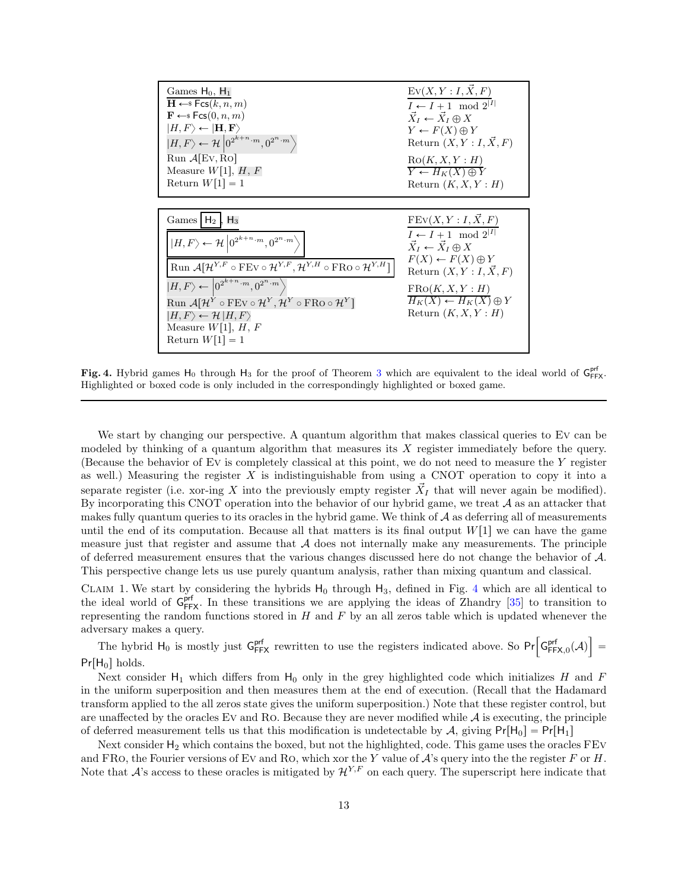| Games $H_0$ , $H_1$                                                                                                               | $Ev(X, Y: I, \overrightarrow{X}, F)$                 |
|-----------------------------------------------------------------------------------------------------------------------------------|------------------------------------------------------|
| $\mathbf{H} \leftarrow$ s Fcs $(k, n, m)$                                                                                         | $I \leftarrow I + 1 \mod 2^{ I }$                    |
| $\mathbf{F} \leftarrow$ Fcs $(0, n, m)$                                                                                           | $X_I \leftarrow \overline{X}_I \oplus X$             |
| $ H,F\rangle \leftarrow  {\bf H},{\bf F}\rangle$                                                                                  | $Y \leftarrow F(X) \oplus Y$                         |
| $ H, F\rangle \leftarrow \mathcal{H} \left  0^{2^{k+n} \cdot m}, 0^{2^n \cdot m} \right\rangle$                                   | Return $(X, Y: I, X, F)$                             |
| $Run \mathcal{A}$ [Ev, Ro]                                                                                                        | RO(K, X, Y : H)                                      |
| Measure $W[1], H, F$                                                                                                              | $\overline{Y} \leftarrow H_K(X) \oplus \overline{Y}$ |
| Return $W[1] = 1$                                                                                                                 | Return $(K, X, Y : H)$                               |
|                                                                                                                                   |                                                      |
| Games $H_2$ , $H_3$                                                                                                               | $FEV(X, Y: I, \overrightarrow{X}, F)$                |
| $ H, F\rangle \leftarrow \mathcal{H} \left 0^{2^{k+n} \cdot m}, 0^{2^n \cdot m}\right.\rangle$                                    | $I \leftarrow I + 1 \mod 2^{ I }$                    |
| Run $\mathcal{A}[\mathcal{H}^{Y,F} \circ FEv \circ \mathcal{H}^{Y,F}, \mathcal{H}^{Y,H} \circ FRo \circ \mathcal{H}^{Y,H}]$       | $\vec{X}_I \leftarrow \vec{X}_I \oplus X$            |
| $ H, F\rangle \leftarrow \left 0^{2^{k+n} \cdot m}, 0^{2^n \cdot m}\right\rangle$                                                 | $F(X) \leftarrow F(X) \oplus Y$                      |
| $\text{Run } \mathcal{A}[\mathcal{H}^Y \circ \text{FEV} \circ \mathcal{H}^Y, \mathcal{H}^Y \circ \text{FRO} \circ \mathcal{H}^Y]$ | Return $(X, Y: I, \overline{X}, F)$                  |
| $ H, F\rangle \leftarrow \mathcal{H}  H, F\rangle$                                                                                | FRO(K, X, Y : H)                                     |
| Measure $W[1], H, F$                                                                                                              | $H_K(X) \leftarrow H_K(X) \oplus Y$                  |
| Return $W[1] = 1$                                                                                                                 | Return $(K, X, Y : H)$                               |

<span id="page-13-0"></span>Fig. 4. Hybrid games  $H_0$  through  $H_3$  $H_3$  for the proof of Theorem 3 which are equivalent to the ideal world of  $G_{FFX}^{prf}$ . Highlighted or boxed code is only included in the correspondingly highlighted or boxed game.

We start by changing our perspective. A quantum algorithm that makes classical queries to EV can be modeled by thinking of a quantum algorithm that measures its X register immediately before the query. (Because the behavior of Ev is completely classical at this point, we do not need to measure the Y register as well.) Measuring the register  $X$  is indistinguishable from using a CNOT operation to copy it into a separate register (i.e. xor-ing X into the previously empty register  $\vec{X}_I$  that will never again be modified). By incorporating this CNOT operation into the behavior of our hybrid game, we treat  $A$  as an attacker that makes fully quantum queries to its oracles in the hybrid game. We think of  $A$  as deferring all of measurements until the end of its computation. Because all that matters is its final output  $W[1]$  we can have the game measure just that register and assume that  $A$  does not internally make any measurements. The principle of deferred measurement ensures that the various changes discussed here do not change the behavior of A. This perspective change lets us use purely quantum analysis, rather than mixing quantum and classical.

CLAIM 1. We start by considering the hybrids  $H_0$  through  $H_3$ , defined in Fig. [4](#page-13-0) which are all identical to the ideal world of  $G_{FFX}^{prf}$ . In these transitions we are applying the ideas of Zhandry [\[35\]](#page-25-10) to transition to representing the random functions stored in  $H$  and  $F$  by an all zeros table which is updated whenever the adversary makes a query.

The hybrid  $H_0$  is mostly just  $G_{FFX}^{prf}$  rewritten to use the registers indicated above. So  $Pr\left[G_{FFX,0}^{prf}(\mathcal{A})\right]$  $=$  $Pr[H_0]$  holds.

Next consider  $H_1$  which differs from  $H_0$  only in the grey highlighted code which initializes H and F in the uniform superposition and then measures them at the end of execution. (Recall that the Hadamard transform applied to the all zeros state gives the uniform superposition.) Note that these register control, but are unaffected by the oracles Ev and Ro. Because they are never modified while  $A$  is executing, the principle of deferred measurement tells us that this modification is undetectable by A, giving  $Pr[H_0] = Pr[H_1]$ 

Next consider  $H_2$  which contains the boxed, but not the highlighted, code. This game uses the oracles  $FEV$ and FRO, the Fourier versions of EV and RO, which xor the Y value of  $\mathcal{A}$ 's query into the the register F or H. Note that  $A$ 's access to these oracles is mitigated by  $\mathcal{H}^{Y,F}$  on each query. The superscript here indicate that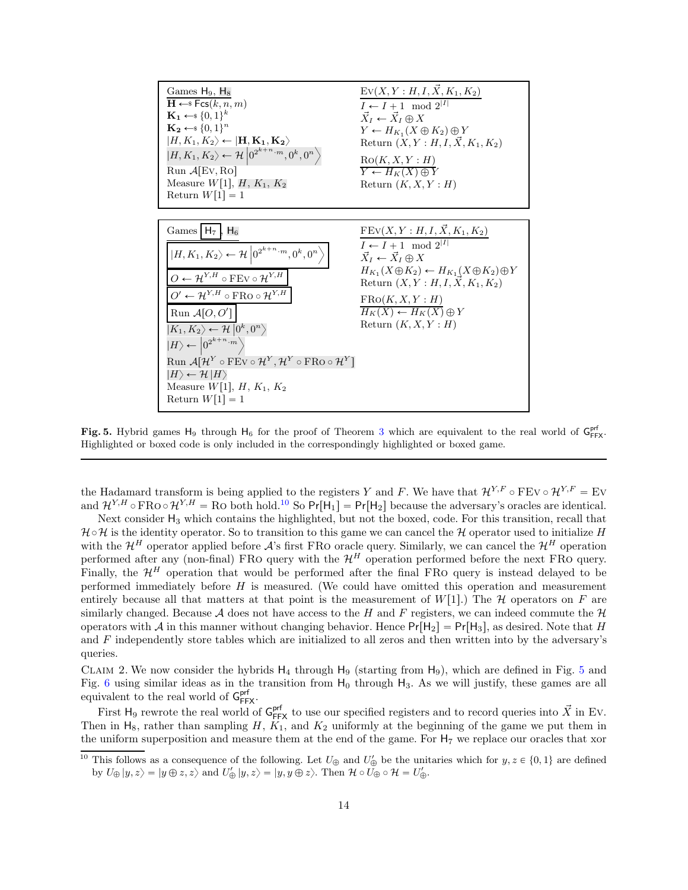

<span id="page-14-1"></span>Fig. 5. Hybrid games  $H_9$  through  $H_6$  for the proof of Theorem [3](#page-11-1) which are equivalent to the real world of  $G_{FFX}^{prf}$ . Highlighted or boxed code is only included in the correspondingly highlighted or boxed game.

the Hadamard transform is being applied to the registers Y and F. We have that  $\mathcal{H}^{Y,F} \circ F Ev \circ \mathcal{H}^{Y,F} = Ev$ and  $\mathcal{H}^{Y,H} \circ \text{FRO} \circ \mathcal{H}^{Y,H} = \text{Ro}$  both hold.<sup>[10](#page-14-0)</sup> So  $\text{Pr}[H_1] = \text{Pr}[H_2]$  because the adversary's oracles are identical.

Next consider  $H_3$  which contains the highlighted, but not the boxed, code. For this transition, recall that  $H \circ H$  is the identity operator. So to transition to this game we can cancel the H operator used to initialize H with the  $\mathcal{H}^H$  operator applied before  $\mathcal{A}$ 's first FRO oracle query. Similarly, we can cancel the  $\mathcal{H}^H$  operation performed after any (non-final) FRO query with the  $\mathcal{H}^H$  operation performed before the next FRO query. Finally, the  $\mathcal{H}^H$  operation that would be performed after the final FRO query is instead delayed to be performed immediately before H is measured. (We could have omitted this operation and measurement entirely because all that matters at that point is the measurement of  $W[1]$ .) The H operators on F are similarly changed. Because A does not have access to the H and F registers, we can indeed commute the  $\mathcal H$ operators with A in this manner without changing behavior. Hence  $Pr[H_2] = Pr[H_3]$ , as desired. Note that H and F independently store tables which are initialized to all zeros and then written into by the adversary's queries.

CLAIM 2. We now consider the hybrids  $H_4$  through  $H_9$  (starting from  $H_9$ ), which are defined in Fig. [5](#page-14-1) and Fig. [6](#page-15-0) using similar ideas as in the transition from  $H_0$  through  $H_3$ . As we will justify, these games are all equivalent to the real world of  $G_{FFX}^{prf}$ .

First H<sub>9</sub> rewrote the real world of  $G_{FFX}^{prf}$  to use our specified registers and to record queries into  $\vec{X}$  in Ev. Then in  $H_8$ , rather than sampling H,  $K_1$ , and  $K_2$  uniformly at the beginning of the game we put them in the uniform superposition and measure them at the end of the game. For  $H_7$  we replace our oracles that xor

<span id="page-14-0"></span><sup>&</sup>lt;sup>10</sup> This follows as a consequence of the following. Let  $U_{\oplus}$  and  $U'_{\oplus}$  be the unitaries which for  $y, z \in \{0, 1\}$  are defined by  $U_{\oplus} |y, z\rangle = |y \oplus z, z\rangle$  and  $U'_{\oplus} |y, z\rangle = |y, y \oplus z\rangle$ . Then  $\mathcal{H} \circ U_{\oplus} \circ \mathcal{H} = U'_{\oplus}$ .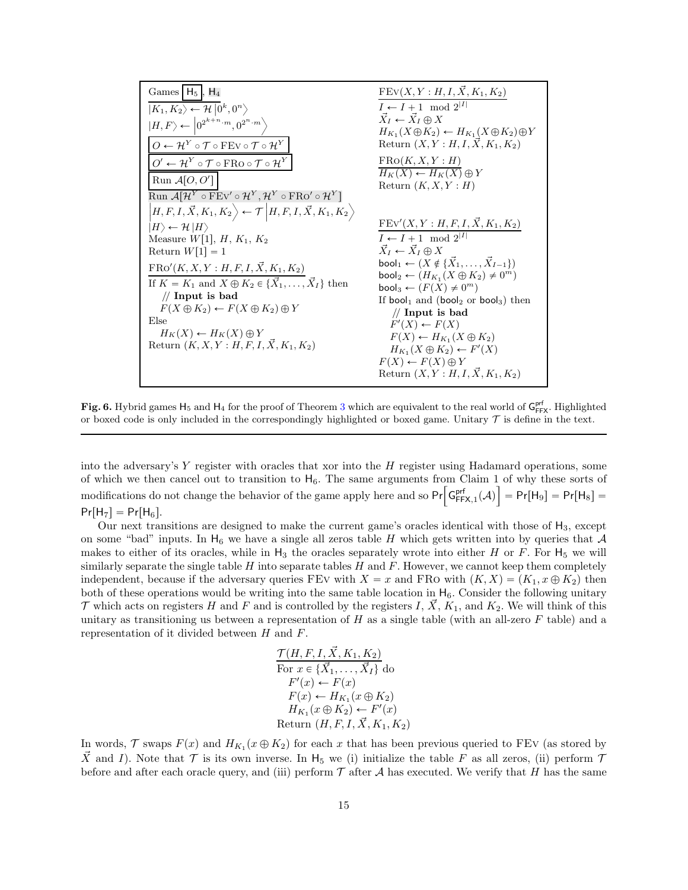| $I \leftarrow I + 1 \mod 2^{ I }$<br>$ K_1, K_2\rangle \leftarrow \mathcal{H}  0^k, 0^n\rangle$<br>$X_I \leftarrow X_I \oplus X$<br>$ H, F\rangle \leftarrow \left 0^{2^{k+n} \cdot m}, 0^{2^n \cdot m}\right\rangle$<br>$H_{K_1}(X \oplus K_2) \leftarrow H_{K_1}(X \oplus K_2) \oplus Y$<br>$O \leftarrow \mathcal{H}^Y \circ \mathcal{T} \circ \text{FEV} \circ \mathcal{T} \circ \mathcal{H}^Y$<br>Return $(X, Y : H, I, X, K_1, K_2)$<br>FRO(K, X, Y : H)<br>$O' \leftarrow H^Y \circ \mathcal{T} \circ \text{FRo} \circ \mathcal{T} \circ H^Y$ |
|------------------------------------------------------------------------------------------------------------------------------------------------------------------------------------------------------------------------------------------------------------------------------------------------------------------------------------------------------------------------------------------------------------------------------------------------------------------------------------------------------------------------------------------------------|
|                                                                                                                                                                                                                                                                                                                                                                                                                                                                                                                                                      |
|                                                                                                                                                                                                                                                                                                                                                                                                                                                                                                                                                      |
|                                                                                                                                                                                                                                                                                                                                                                                                                                                                                                                                                      |
|                                                                                                                                                                                                                                                                                                                                                                                                                                                                                                                                                      |
| $H_K(X) \leftarrow H_K(X) \oplus Y$<br>Run $\mathcal{A}[O, O']$<br>Return $(K, X, Y : H)$                                                                                                                                                                                                                                                                                                                                                                                                                                                            |
| $\text{Run }\mathcal{A}[\mathcal{H}^Y \circ \text{FEV}' \circ \mathcal{H}^Y, \mathcal{H}^Y \circ \text{FRO}' \circ \mathcal{H}^Y]$                                                                                                                                                                                                                                                                                                                                                                                                                   |
| $\left H,F,I,\vec{X},K_1,K_2\right\rangle \leftarrow \mathcal{T}\left H,F,I,\vec{X},K_1,K_2\right\rangle$                                                                                                                                                                                                                                                                                                                                                                                                                                            |
| $FEv'(X, Y : H, F, I, X, K_1, K_2)$<br>$ H\rangle \leftarrow \mathcal{H} \left  H\right\rangle$                                                                                                                                                                                                                                                                                                                                                                                                                                                      |
| $I \leftarrow I + 1 \mod 2^{ I }$<br>Measure $W[1], H, K_1, K_2$                                                                                                                                                                                                                                                                                                                                                                                                                                                                                     |
| $\vec{X}_I \leftarrow \vec{X}_I \oplus X$<br>Return $W[1] = 1$                                                                                                                                                                                                                                                                                                                                                                                                                                                                                       |
| bool <sub>1</sub> $\leftarrow$ $(X \notin \{ \vec{X}_1, \ldots, \vec{X}_{I-1} \})$<br>$FRO'(K, X, Y: H, F, I, \vec{X}, K_1, K_2)$                                                                                                                                                                                                                                                                                                                                                                                                                    |
| bool <sub>2</sub> $\leftarrow$ $(H_{K_1}(X \oplus K_2) \neq 0^m)$<br>If $K = K_1$ and $X \oplus K_2 \in {\bar{X}_1, \ldots, \bar{X}_I}$ then                                                                                                                                                                                                                                                                                                                                                                                                         |
| bool <sub>3</sub> $\leftarrow$ $(F(X) \neq 0^m)$<br>$\mathcal{U}$ Input is bad                                                                                                                                                                                                                                                                                                                                                                                                                                                                       |
| If bool <sub>1</sub> and (bool <sub>2</sub> or bool <sub>3</sub> ) then<br>$F(X \oplus K_2) \leftarrow F(X \oplus K_2) \oplus Y$                                                                                                                                                                                                                                                                                                                                                                                                                     |
| $//$ Input is bad<br>Else<br>$F'(X) \leftarrow F(X)$                                                                                                                                                                                                                                                                                                                                                                                                                                                                                                 |
| $H_K(X) \leftarrow H_K(X) \oplus Y$<br>$F(X) \leftarrow H_{K_1}(X \oplus K_2)$                                                                                                                                                                                                                                                                                                                                                                                                                                                                       |
| Return $(K, X, Y : H, F, I, \vec{X}, K_1, K_2)$<br>$H_{K_1}(X \oplus K_2) \leftarrow F'(X)$                                                                                                                                                                                                                                                                                                                                                                                                                                                          |
| $F(X) \leftarrow F(X) \oplus Y$                                                                                                                                                                                                                                                                                                                                                                                                                                                                                                                      |
| Return $(X, Y : H, I, X, K_1, K_2)$                                                                                                                                                                                                                                                                                                                                                                                                                                                                                                                  |

<span id="page-15-0"></span>Fig. 6. Hybrid games  $H_5$  and  $H_4$  for the proof of Theorem [3](#page-11-1) which are equivalent to the real world of  $G_{FFX}^{pr}$ . Highlighted or boxed code is only included in the correspondingly highlighted or boxed game. Unitary  $\mathcal T$  is define in the text.

into the adversary's  $Y$  register with oracles that xor into the  $H$  register using Hadamard operations, some of which we then cancel out to transition to  $H_6$ . The same arguments from Claim 1 of why these sorts of modifications do not change the behavior of the game apply here and so  $Pr\left[ G_{FFX,1}^{pr}(A) \right] = Pr[H_9] = Pr[H_8] =$  $Pr[H_7] = Pr[H_6].$ 

Our next transitions are designed to make the current game's oracles identical with those of  $H_3$ , except on some "bad" inputs. In  $H_6$  we have a single all zeros table H which gets written into by queries that A makes to either of its oracles, while in  $H_3$  the oracles separately wrote into either H or F. For  $H_5$  we will similarly separate the single table  $H$  into separate tables  $H$  and  $F$ . However, we cannot keep them completely independent, because if the adversary queries FEv with  $X = x$  and FRO with  $(K, X) = (K_1, x \oplus K_2)$  then both of these operations would be writing into the same table location in  $H_6$ . Consider the following unitary  $\mathcal T$  which acts on registers H and F and is controlled by the registers I,  $\vec X$ ,  $K_1$ , and  $K_2$ . We will think of this unitary as transitioning us between a representation of  $H$  as a single table (with an all-zero  $F$  table) and a representation of it divided between  $H$  and  $F$ .

$$
\frac{\mathcal{T}(H, F, I, \vec{X}, K_1, K_2)}{\text{For } x \in \{\vec{X}_1, \dots, \vec{X}_I\}} \text{ do}
$$
\n
$$
F'(x) \leftarrow F(x)
$$
\n
$$
F(x) \leftarrow H_{K_1}(x \oplus K_2)
$$
\n
$$
H_{K_1}(x \oplus K_2) \leftarrow F'(x)
$$
\nReturn  $(H, F, I, \vec{X}, K_1, K_2)$ 

In words,  $\mathcal T$  swaps  $F(x)$  and  $H_{K_1}(x \oplus K_2)$  for each x that has been previous queried to FEV (as stored by X and I). Note that  $\mathcal T$  is its own inverse. In H<sub>5</sub> we (i) initialize the table F as all zeros, (ii) perform  $\mathcal T$ before and after each oracle query, and (iii) perform  $\mathcal T$  after  $\mathcal A$  has executed. We verify that H has the same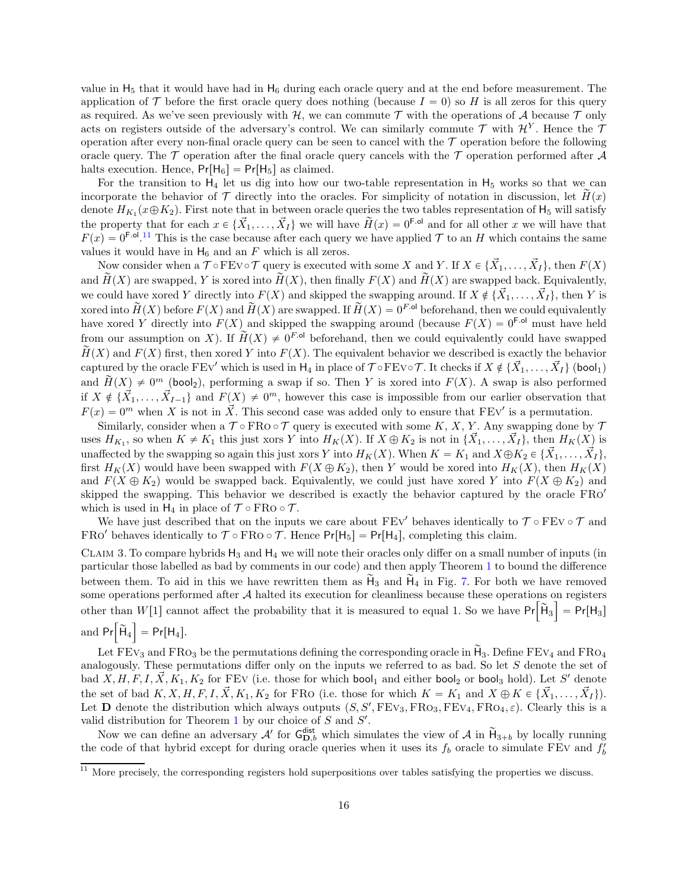value in  $H_5$  that it would have had in  $H_6$  during each oracle query and at the end before measurement. The application of T before the first oracle query does nothing (because  $I = 0$ ) so H is all zeros for this query as required. As we've seen previously with  $H$ , we can commute  $T$  with the operations of  $A$  because  $T$  only acts on registers outside of the adversary's control. We can similarly commute  $\mathcal T$  with  $\mathcal H^Y$ . Hence the  $\mathcal T$ operation after every non-final oracle query can be seen to cancel with the  $\mathcal T$  operation before the following oracle query. The  $\mathcal T$  operation after the final oracle query cancels with the  $\mathcal T$  operation performed after  $\mathcal A$ halts execution. Hence,  $Pr[H_6] = Pr[H_5]$  as claimed.

For the transition to  $H_4$  let us dig into how our two-table representation in  $H_5$  works so that we can incorporate the behavior of  $\mathcal T$  directly into the oracles. For simplicity of notation in discussion, let  $H(x)$ denote  $H_{K_1}(x \oplus K_2)$ . First note that in between oracle queries the two tables representation of  $H_5$  will satisfy the property that for each  $x \in \{\vec{X}_1, \ldots, \vec{X}_I\}$  we will have  $\widetilde{H}(x) = 0^{\text{F.ol}}$  and for all other x we will have that  $F(x) = 0^{F \cdot 0}$ . If This is the case because after each query we have applied T to an H which contains the same values it would have in  $H_6$  and an F which is all zeros.

Now consider when a  $\mathcal{T} \circ \text{FEV} \circ \mathcal{T}$  query is executed with some X and Y. If  $X \in \{X_1, \ldots, X_I\}$ , then  $F(X)$ and  $\widetilde{H}(X)$  are swapped, Y is xored into  $\widetilde{H}(X)$ , then finally  $F(X)$  and  $\widetilde{H}(X)$  are swapped back. Equivalently, we could have xored Y directly into  $F(X)$  and skipped the swapping around. If  $X \notin \{X_1, \ldots, X_I\}$ , then Y is xored into  $\widetilde{H}(X)$  before  $F(X)$  and  $\widetilde{H}(X)$  are swapped. If  $\widetilde{H}(X) = 0^{F.0}$  beforehand, then we could equivalently have xored Y directly into  $F(X)$  and skipped the swapping around (because  $F(X) = 0^{F \text{-ol}}$  must have held from our assumption on X). If  $\widetilde{H}(X) \neq 0^{F,\text{ol}}$  beforehand, then we could equivalently could have swapped  $\widetilde{H}(X)$  and  $F(X)$  first, then xored Y into  $F(X)$ . The equivalent behavior we described is exactly the behavior captured by the oracle FEv' which is used in  $H_4$  in place of  $\mathcal{T} \circ F Ev \circ \mathcal{T}$ . It checks if  $X \notin \{X_1, \ldots, X_I\}$  (bool<sub>1</sub>) and  $\widetilde{H}(X) \neq 0^m$  (bool<sub>2</sub>), performing a swap if so. Then Y is xored into  $F(X)$ . A swap is also performed if  $X \notin \{ \vec{X}_1, \ldots, \vec{X}_{I-1} \}$  and  $F(X) \neq 0^m$ , however this case is impossible from our earlier observation that  $F(x) = 0^m$  when X is not in  $\vec{X}$ . This second case was added only to ensure that FEV' is a permutation.

Similarly, consider when a  $\mathcal{T} \circ FRo \circ \mathcal{T}$  query is executed with some K, X, Y. Any swapping done by  $\mathcal{T}$ uses  $H_{K_1}$ , so when  $K \neq K_1$  this just xors Y into  $H_K(X)$ . If  $X \oplus K_2$  is not in  $\{\vec{X}_1, \ldots, \vec{X}_I\}$ , then  $H_K(X)$  is unaffected by the swapping so again this just xors Y into  $H_K(X)$ . When  $K = K_1$  and  $X \oplus K_2 \in \{X_1, \ldots, X_I\}$ , first  $H_K(X)$  would have been swapped with  $F(X \oplus K_2)$ , then Y would be xored into  $H_K(X)$ , then  $H_K(X)$ and  $F(X \oplus K_2)$  would be swapped back. Equivalently, we could just have xored Y into  $F(X \oplus K_2)$  and skipped the swapping. This behavior we described is exactly the behavior captured by the oracle FRO<sup>1</sup> which is used in  $H_4$  in place of  $\mathcal{T} \circ \text{FRO} \circ \mathcal{T}$ .

We have just described that on the inputs we care about  $FEV'$  behaves identically to  $\mathcal{T} \circ FEV \circ \mathcal{T}$  and FRO' behaves identically to  $\mathcal{T} \circ FRo \circ \mathcal{T}$ . Hence  $Pr[H_5] = Pr[H_4]$ , completing this claim.

CLAIM 3. To compare hybrids  $H_3$  and  $H_4$  we will note their oracles only differ on a small number of inputs (in particular those labelled as bad by comments in our code) and then apply Theorem [1](#page-8-0) to bound the difference between them. To aid in this we have rewritten them as  $H_3$  and  $H_4$  in Fig. [7.](#page-17-0) For both we have removed some operations performed after  $A$  halted its execution for cleanliness because these operations on registers other than  $W[1]$  cannot affect the probability that it is measured to equal 1. So we have  $Pr[\tilde{H}_3] = Pr[H_3]$ and  $Pr[\widetilde{H}_4] = Pr[H_4].$ 

Let  $FEv_3$  and  $FRo_3$  be the permutations defining the corresponding oracle in  $\tilde{H}_3$ . Define  $FEv_4$  and  $FRo_4$ analogously. These permutations differ only on the inputs we referred to as bad. So let S denote the set of bad  $X, H, F, I, \vec{X}, K_1, K_2$  for FEV (i.e. those for which **bool**<sub>1</sub> and either **bool**<sub>2</sub> or **bool**<sub>3</sub> hold). Let S' denote the set of bad  $K, X, H, F, I, \vec{X}, K_1, K_2$  for FRO (i.e. those for which  $K = K_1$  and  $X \oplus K \in {\vec{X}_1, \ldots, \vec{X}_I}$ ). Let **D** denote the distribution which always outputs  $(S, S', FEV_3, FRO_3, FEV_4, FRO_4, \varepsilon)$ . Clearly this is a valid distribution for Theorem [1](#page-8-0) by our choice of  $S$  and  $S'$ .

Now we can define an adversary  $\mathcal{A}'$  for  $G_{D,b}^{\text{dist}}$  which simulates the view of  $\mathcal{A}$  in  $\widetilde{H}_{3+b}$  by locally running the code of that hybrid except for during oracle queries when it uses its  $f_b$  oracle to simulate FEV and  $f'_b$ 

<span id="page-16-0"></span> $11$  More precisely, the corresponding registers hold superpositions over tables satisfying the properties we discuss.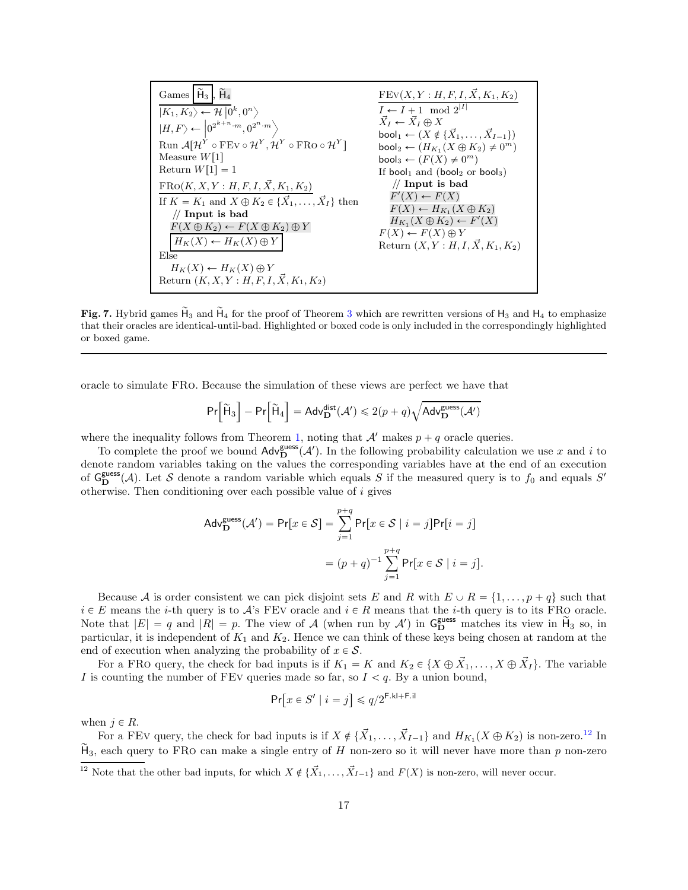Games 
$$
\overline{H}_3
$$
,  $\overline{H}_4$ 

\n $|K_1, K_2\rangle \leftarrow \mathcal{H} | 0^k, 0^n \right$ 

\n $|H, F \rangle \leftarrow | 0^{2^{k+n} \cdot m}, 0^{2^n \cdot m} \right)$ 

\nRun  $\mathcal{A} [ \mathcal{H}^Y \circ FEv \circ \mathcal{H}^Y, \mathcal{H}^Y \circ FRo \circ \mathcal{H}^Y ]$ 

\nNeasure  $W[1]$ 

\nReturn  $\mathcal{A} [ \mathcal{H}^Y \circ FEv \circ \mathcal{H}^Y, \mathcal{H}^Y \circ FRo \circ \mathcal{H}^Y ]$ 

\nNot  $\overline{X}_I \leftarrow \overline{X}_I \oplus X$ 

\nboolean  $\leftarrow (X \notin \{X_1, \ldots, X_{I-1}\})$ 

\nMeasure  $W[1]$ 

\nReturn  $W[1] = 1$ 

\nFrom  $W[1] = 1$ 

\nFrom  $W[1] = 1$ 

\nFrom  $W[1] = 1$ 

\nFrom  $W[1] = 1$ 

\nFrom  $W[1] = 1$ 

\nFrom  $W[1] = 1$ 

\nFrom  $W[1] = 1$ 

\nFrom  $W[1] = 1$ 

\nFrom  $W[1] = 1$ 

\nFrom  $W[1] = 1$ 

\nFrom  $W[1] = 1$ 

\nFrom  $W[1] = 1$ 

\nFrom  $W[1] = 1$ 

\nFrom  $W[1] = 1$ 

\nFrom  $W[1] = 1$ 

\nFrom  $W[1] = 1$ 

\nFrom  $W[1] = 1$ 

\

<span id="page-17-0"></span>Fig. 7. Hybrid games  $H_3$  $H_3$  and  $H_4$  for the proof of Theorem 3 which are rewritten versions of  $H_3$  and  $H_4$  to emphasize that their oracles are identical-until-bad. Highlighted or boxed code is only included in the correspondingly highlighted or boxed game.

oracle to simulate FRo. Because the simulation of these views are perfect we have that

$$
\Pr\Big[\widetilde{\mathsf{H}}_3\Big]-\Pr\Big[\widetilde{\mathsf{H}}_4\Big]=\mathsf{Adv}_{\mathbf{D}}^{\mathsf{dist}}(\mathcal{A}')\leqslant 2(p+q)\sqrt{\mathsf{Adv}_{\mathbf{D}}^{\mathsf{guess}}(\mathcal{A}')}
$$

where the inequality follows from Theorem [1,](#page-8-0) noting that  $\mathcal{A}'$  makes  $p + q$  oracle queries.

To complete the proof we bound  $\text{Adv}_{\mathbf{D}}^{\text{guess}}(\mathcal{A}')$ . In the following probability calculation we use x and i to denote random variables taking on the values the corresponding variables have at the end of an execution of  $G_{\mathbf{D}}^{\text{guess}}(\mathcal{A})$ . Let S denote a random variable which equals S if the measured query is to  $f_0$  and equals S' otherwise. Then conditioning over each possible value of i gives

$$
\begin{aligned} \mathsf{Adv}_{\mathbf{D}}^{\mathsf{guess}}(\mathcal{A}') &= \mathsf{Pr}[x \in \mathcal{S}] = \sum_{j=1}^{p+q} \mathsf{Pr}[x \in \mathcal{S} \mid i=j] \mathsf{Pr}[i=j] \\ &= (p+q)^{-1} \sum_{j=1}^{p+q} \mathsf{Pr}[x \in \mathcal{S} \mid i=j]. \end{aligned}
$$

Because A is order consistent we can pick disjoint sets E and R with  $E \cup R = \{1, \ldots, p + q\}$  such that  $i \in E$  means the *i*-th query is to A's FEV oracle and  $i \in R$  means that the *i*-th query is to its FRO oracle. Note that  $|E| = q$  and  $|R| = p$ . The view of A (when run by A') in  $G_{\mathbf{D}}^{\text{guess}}$  matches its view in  $\widetilde{H}_3$  so, in particular, it is independent of  $K_1$  and  $K_2$ . Hence we can think of these keys being chosen at random at the end of execution when analyzing the probability of  $x \in \mathcal{S}$ .

For a FRO query, the check for bad inputs is if  $K_1 = K$  and  $K_2 \in \{X \oplus \vec{X}_1, \ldots, X \oplus \vec{X}_I\}$ . The variable I is counting the number of FEV queries made so far, so  $I < q$ . By a union bound,

$$
\Pr\bigl[x \in S' \mid i = j \bigr] \leqslant q/2^{\mathrm{F.kl} + \mathrm{F.i l}}
$$

when  $j \in R$ .

For a FEV query, the check for bad inputs is if  $X \notin \{ \vec{X}_1, \ldots, \vec{X}_{I-1} \}$  and  $H_{K_1}(X \oplus K_2)$  is non-zero.<sup>[12](#page-17-1)</sup> In  $\widetilde{H}_3$ , each query to FRO can make a single entry of H non-zero so it will never have more than p non-zero

<span id="page-17-1"></span><sup>&</sup>lt;sup>12</sup> Note that the other bad inputs, for which  $X \notin \{X_1, \ldots, X_{I-1}\}\$  and  $F(X)$  is non-zero, will never occur.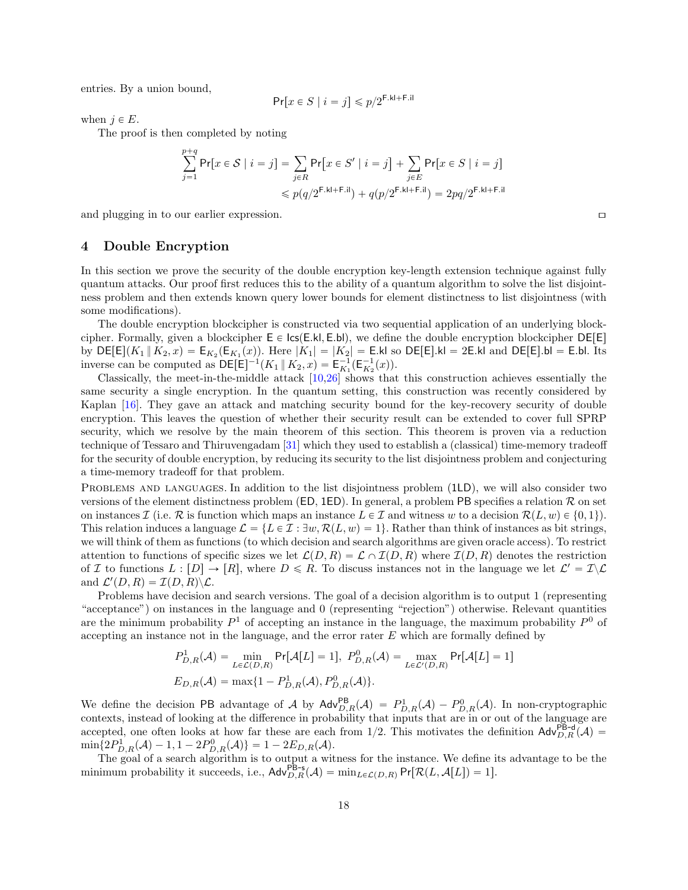entries. By a union bound,

$$
\Pr[x \in S \mid i = j] \leq p/2^{\mathsf{F.kl} + \mathsf{F.iI}}
$$

when  $j \in E$ .

The proof is then completed by noting

$$
\sum_{j=1}^{p+q} \Pr[x \in S \mid i = j] = \sum_{j \in R} \Pr[x \in S' \mid i = j] + \sum_{j \in E} \Pr[x \in S \mid i = j]
$$
  
\$\leq p(q/2^{F.kl + F.i} + q(p/2^{F.kl + F.i}]) = 2pq/2^{F.kl + F.il}

and plugging in to our earlier expression.

## <span id="page-18-0"></span>4 Double Encryption

In this section we prove the security of the double encryption key-length extension technique against fully quantum attacks. Our proof first reduces this to the ability of a quantum algorithm to solve the list disjointness problem and then extends known query lower bounds for element distinctness to list disjointness (with some modifications).

The double encryption blockcipher is constructed via two sequential application of an underlying blockcipher. Formally, given a blockcipher  $E \in \textsf{lcs}(E.kl, E.bl)$ , we define the double encryption blockcipher DE[E] by  $DE[E](K_1 || K_2, x) = E_{K_2}(E_{K_1}(x))$ . Here  $|K_1| = |K_2| = E$ .kl so  $DE[E]$ .kl = 2E.kl and DE $[E]$ .bl = E.bl. Its inverse can be computed as  $DE[E]^{-1}(K_1 \parallel K_2, x) = E_{K_1}^{-1}(E_{K_2}^{-1}(x)).$ 

Classically, the meet-in-the-middle attack [\[10,](#page-24-11)[26\]](#page-25-14) shows that this construction achieves essentially the same security a single encryption. In the quantum setting, this construction was recently considered by Kaplan [\[16\]](#page-24-12). They gave an attack and matching security bound for the key-recovery security of double encryption. This leaves the question of whether their security result can be extended to cover full SPRP security, which we resolve by the main theorem of this section. This theorem is proven via a reduction technique of Tessaro and Thiruvengadam [\[31\]](#page-25-15) which they used to establish a (classical) time-memory tradeoff for the security of double encryption, by reducing its security to the list disjointness problem and conjecturing a time-memory tradeoff for that problem.

PROBLEMS AND LANGUAGES. In addition to the list disjointness problem (1LD), we will also consider two versions of the element distinctness problem (ED, 1ED). In general, a problem PB specifies a relation R on set on instances I (i.e. R is function which maps an instance  $L \in \mathcal{I}$  and witness w to a decision  $\mathcal{R}(L, w) \in \{0, 1\}$ ). This relation induces a language  $\mathcal{L} = \{L \in \mathcal{I} : \exists w, \mathcal{R}(L, w) = 1\}$ . Rather than think of instances as bit strings, we will think of them as functions (to which decision and search algorithms are given oracle access). To restrict attention to functions of specific sizes we let  $\mathcal{L}(D, R) = \mathcal{L} \cap \mathcal{I}(D, R)$  where  $\mathcal{I}(D, R)$  denotes the restriction of I to functions  $L : [D] \to [R]$ , where  $D \le R$ . To discuss instances not in the language we let  $\mathcal{L}' = \mathcal{I} \setminus \mathcal{L}$ and  $\mathcal{L}'(D, R) = \mathcal{I}(D, R) \backslash \mathcal{L}$ .

Problems have decision and search versions. The goal of a decision algorithm is to output 1 (representing "acceptance") on instances in the language and 0 (representing "rejection") otherwise. Relevant quantities are the minimum probability  $P^1$  of accepting an instance in the language, the maximum probability  $P^0$  of accepting an instance not in the language, and the error rater  $E$  which are formally defined by

$$
P_{D,R}^1(\mathcal{A}) = \min_{L \in \mathcal{L}(D,R)} \Pr[\mathcal{A}[L] = 1], \ P_{D,R}^0(\mathcal{A}) = \max_{L \in \mathcal{L}'(D,R)} \Pr[\mathcal{A}[L] = 1]
$$
  

$$
E_{D,R}(\mathcal{A}) = \max\{1 - P_{D,R}^1(\mathcal{A}), P_{D,R}^0(\mathcal{A})\}.
$$

We define the decision PB advantage of A by  $\mathsf{Adv}_{D,R}^{\mathsf{PB}}(\mathcal{A}) = P_{D,R}^1(\mathcal{A}) - P_{D,R}^0(\mathcal{A})$ . In non-cryptographic contexts, instead of looking at the difference in probability that inputs that are in or out of the language are accepted, one often looks at how far these are each from 1/2. This motivates the definition  $\mathsf{Adv}_{D,R}^{\mathsf{P$  $\min\{2P_{D,R}^1(\mathcal{A}) - 1, 1 - 2P_{D,R}^0(\mathcal{A})\} = 1 - 2E_{D,R}(\mathcal{A}).$ 

The goal of a search algorithm is to output a witness for the instance. We define its advantage to be the minimum probability it succeeds, i.e.,  $\mathsf{Adv}_{D,R}^{\mathsf{PB-s}}(\mathcal{A}) = \min_{L \in \mathcal{L}(D,R)} \mathsf{Pr}[\mathcal{R}(L,\mathcal{A}[L]) = 1].$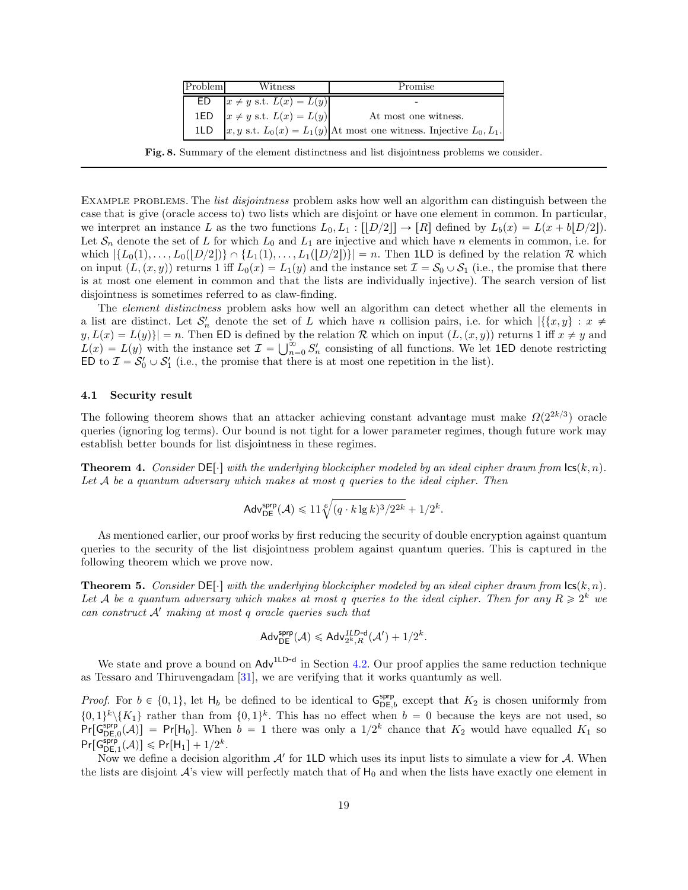| Problem | Witness | Promise                                                                                                                                     |
|---------|---------|---------------------------------------------------------------------------------------------------------------------------------------------|
| ED      |         | $x \neq y$ s.t. $L(x) = L(y)$<br>$x \neq y$ s.t. $L(x) = L(y)$<br>$x, y$ s.t. $L_0(x) = L_1(y)$ At most one witness. Injective $L_0, L_1$ . |
| 1ED     |         |                                                                                                                                             |
| 1LD     |         |                                                                                                                                             |

Fig. 8. Summary of the element distinctness and list disjointness problems we consider.

EXAMPLE PROBLEMS. The *list disjointness* problem asks how well an algorithm can distinguish between the case that is give (oracle access to) two lists which are disjoint or have one element in common. In particular, we interpret an instance L as the two functions  $L_0, L_1 : [[D/2]] \to [R]$  defined by  $L_b(x) = L(x + b|D/2])$ . Let  $S_n$  denote the set of L for which  $L_0$  and  $L_1$  are injective and which have n elements in common, i.e. for which  $\{L_0(1), \ldots, L_0([D/2])\}\cap \{L_1(1), \ldots, L_1([D/2])\}| = n$ . Then 1LD is defined by the relation R which on input  $(L, (x, y))$  returns 1 iff  $L_0(x) = L_1(y)$  and the instance set  $\mathcal{I} = \mathcal{S}_0 \cup \mathcal{S}_1$  (i.e., the promise that there is at most one element in common and that the lists are individually injective). The search version of list disjointness is sometimes referred to as claw-finding.

The *element distinctness* problem asks how well an algorithm can detect whether all the elements in a list are distinct. Let  $S'_n$  denote the set of L which have n collision pairs, i.e. for which  $|\{\{x,y\}: x \neq 0\}|$  $y, L(x) = L(y)$  = n. Then ED is defined by the relation R which on input  $(L, (x, y))$  returns 1 iff  $x \neq y$  and  $L(x) = L(y)$  with the instance set  $\mathcal{I} = \bigcup_{n=0}^{\infty} S_n'$  consisting of all functions. We let 1ED denote restricting ED to  $\mathcal{I} = \mathcal{S}'_0 \cup \mathcal{S}'_1$  (i.e., the promise that there is at most one repetition in the list).

#### 4.1 Security result

The following theorem shows that an attacker achieving constant advantage must make  $\Omega(2^{2k/3})$  oracle queries (ignoring log terms). Our bound is not tight for a lower parameter regimes, though future work may establish better bounds for list disjointness in these regimes.

**Theorem 4.** Consider  $DE[\cdot]$  with the underlying blockcipher modeled by an ideal cipher drawn from  $lcs(k, n)$ . Let  $A$  be a quantum adversary which makes at most q queries to the ideal cipher. Then

$$
\mathsf{Adv}_{\mathsf{DE}}^{\mathsf{sprp}}(\mathcal{A}) \leqslant 11 \sqrt[6]{(q \cdot k \lg k)^3 / 2^{2k}} + 1/2^k.
$$

As mentioned earlier, our proof works by first reducing the security of double encryption against quantum queries to the security of the list disjointness problem against quantum queries. This is captured in the following theorem which we prove now.

<span id="page-19-0"></span>**Theorem 5.** Consider DE $[\cdot]$  with the underlying blockcipher modeled by an ideal cipher drawn from  $\textsf{lc}(k, n)$ . Let A be a quantum adversary which makes at most q queries to the ideal cipher. Then for any  $R \geq 2^k$  we can construct  $A'$  making at most q oracle queries such that

$$
\mathsf{Adv}_{\mathsf{DE}}^{\mathsf{sprp}}(\mathcal{A}) \leqslant \mathsf{Adv}_{2^k,R}^{\mathsf{1LD-d}}(\mathcal{A}') + 1/2^k.
$$

We state and prove a bound on Adv<sup>1LD-d</sup> in Section [4.2.](#page-20-0) Our proof applies the same reduction technique as Tessaro and Thiruvengadam [\[31\]](#page-25-15), we are verifying that it works quantumly as well.

*Proof.* For  $b \in \{0, 1\}$ , let  $H_b$  be defined to be identical to  $G_{DE,b}^{sprp}$  except that  $K_2$  is chosen uniformly from  $\{0,1\}^k \backslash \{K_1\}$  rather than from  $\{0,1\}^k$ . This has no effect when  $b = 0$  because the keys are not used, so  $Pr[\mathsf{G}_{\mathsf{DE},0}^{\mathsf{sprp}}(\mathcal{A})] = Pr[\mathsf{H}_0].$  When  $b = 1$  there was only a  $1/2^k$  chance that  $K_2$  would have equalled  $K_1$  so  $Pr[\mathsf{G}_{\mathsf{DE},1}^{\mathsf{sprp}}(\mathcal{A})] \leqslant Pr[\mathsf{H}_1] + 1/2^k.$ 

Now we define a decision algorithm  $A'$  for 1LD which uses its input lists to simulate a view for  $A$ . When the lists are disjoint  $A$ 's view will perfectly match that of  $H_0$  and when the lists have exactly one element in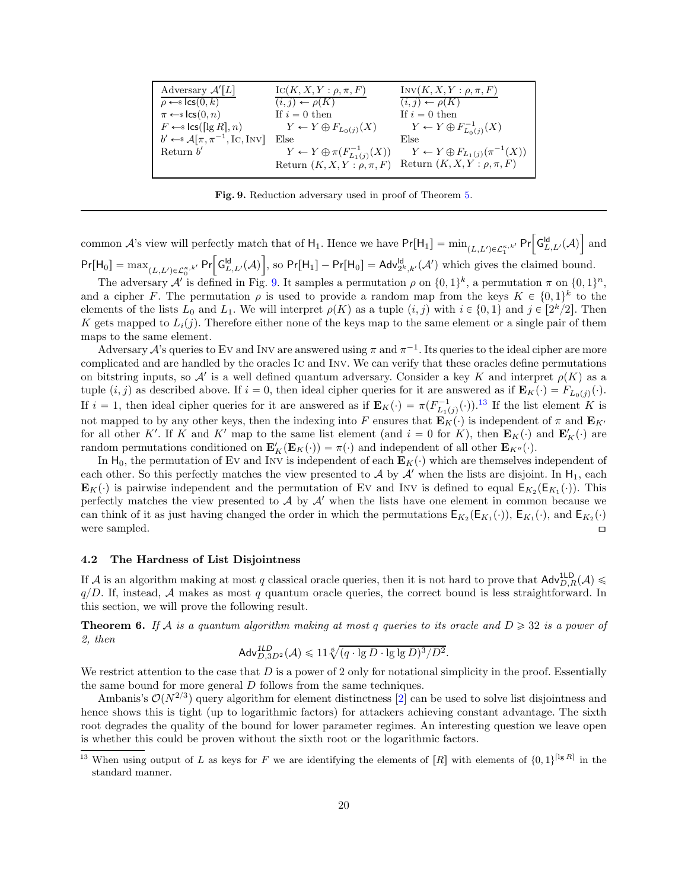| Adversary $\mathcal{A}'[L]$                                            | $\mathrm{IC}(K, X, Y: \rho, \pi, F)$            | $INV(K, X, Y: \rho, \pi, F)$                    |
|------------------------------------------------------------------------|-------------------------------------------------|-------------------------------------------------|
| $\rho \leftarrow s \textsf{lcs}(0,k)$                                  | $(i, j) \leftarrow \rho(K)$                     | $(i, j) \leftarrow \rho(K)$                     |
| $\pi \leftarrow s \text{lcs}(0, n)$                                    | If $i=0$ then                                   | If $i=0$ then                                   |
| $F \leftarrow$ s lcs([lg R], n)                                        | $Y \leftarrow Y \oplus F_{L_0(j)}(X)$           | $Y \leftarrow Y \oplus F^{-1}_{L_0(i)}(X)$      |
| $b' \leftarrow \mathcal{A}[\pi, \pi^{-1}, \text{IC}, \text{INV}]$ Else |                                                 | Else                                            |
| Return $b'$                                                            | $Y \leftarrow Y \oplus \pi(F^{-1}_{L_1(j)}(X))$ | $Y \leftarrow Y \oplus F_{L_1(j)}(\pi^{-1}(X))$ |
|                                                                        | Return $(K, X, Y : \rho, \pi, F)$               | Return $(K, X, Y : \rho, \pi, F)$               |

<span id="page-20-1"></span>Fig. 9. Reduction adversary used in proof of Theorem [5.](#page-19-0)

common A's view will perfectly match that of  $H_1$ . Hence we have  $Pr[H_1] = min_{(L,L') \in \mathcal{L}_1^{\kappa,k'}} Pr\Big[ G_{L,L'}^{ld}(A) \Big]$  and  $Pr[H_0] = \max_{(L,L') \in \mathcal{L}_0^{\kappa,k'}} Pr\Big[ G_{L,L'}^{ld}(\mathcal{A}) \Big]$ , so  $Pr[H_1] - Pr[H_0] = Adv_{2^k,k'}^{ld}(\mathcal{A}')$  which gives the claimed bound.

The adversary A' is defined in Fig. [9.](#page-20-1) It samples a permutation  $\rho$  on  $\{0,1\}^k$ , a permutation  $\pi$  on  $\{0,1\}^n$ , and a cipher F. The permutation  $\rho$  is used to provide a random map from the keys  $K \in \{0,1\}^k$  to the elements of the lists  $L_0$  and  $L_1$ . We will interpret  $\rho(K)$  as a tuple  $(i, j)$  with  $i \in \{0, 1\}$  and  $j \in [2^k/2]$ . Then K gets mapped to  $L_i(j)$ . Therefore either none of the keys map to the same element or a single pair of them maps to the same element.

Adversary  $\mathcal{A}$ 's queries to EV and INV are answered using  $\pi$  and  $\pi^{-1}$ . Its queries to the ideal cipher are more complicated and are handled by the oracles Ic and Inv. We can verify that these oracles define permutations on bitstring inputs, so  $\mathcal{A}'$  is a well defined quantum adversary. Consider a key K and interpret  $\rho(K)$  as a tuple  $(i, j)$  as described above. If  $i = 0$ , then ideal cipher queries for it are answered as if  $\mathbf{E}_K(\cdot) = F_{L_0(j)}(\cdot)$ . If  $i = 1$ , then ideal cipher queries for it are answered as if  $\mathbf{E}_K(\cdot) = \pi(F_{L_1(j)}^{-1}(\cdot))$ .<sup>[13](#page-20-2)</sup> If the list element K is not mapped to by any other keys, then the indexing into F ensures that  $\mathbf{E}_K(\cdot)$  is independent of  $\pi$  and  $\mathbf{E}_{K'}$ for all other K'. If K and K' map to the same list element (and  $i = 0$  for K), then  $\mathbf{E}_K(\cdot)$  and  $\mathbf{E}'_K(\cdot)$  are random permutations conditioned on  $\mathbf{E}_K'(\mathbf{E}_K(\cdot)) = \pi(\cdot)$  and independent of all other  $\mathbf{E}_{K''}(\cdot)$ .

In H<sub>0</sub>, the permutation of Ev and Inv is independent of each  $\mathbf{E}_K(\cdot)$  which are themselves independent of each other. So this perfectly matches the view presented to  $\mathcal A$  by  $\mathcal A'$  when the lists are disjoint. In  $H_1$ , each  $\mathbf{E}_K(\cdot)$  is pairwise independent and the permutation of Ev and Inv is defined to equal  $\mathsf{E}_{K_2}(\mathsf{E}_{K_1}(\cdot))$ . This perfectly matches the view presented to  $\mathcal A$  by  $\mathcal A'$  when the lists have one element in common because we can think of it as just having changed the order in which the permutations  $E_{K_2}(E_{K_1}(\cdot))$ ,  $E_{K_1}(\cdot)$ , and  $E_{K_2}(\cdot)$ were sampled.  $\Box$ 

#### <span id="page-20-0"></span>4.2 The Hardness of List Disjointness

If A is an algorithm making at most q classical oracle queries, then it is not hard to prove that  $\mathsf{Adv}_{D,R}^{\mathsf{1LD}}(\mathcal{A})$  $q/D$ . If, instead, A makes as most q quantum oracle queries, the correct bound is less straightforward. In this section, we will prove the following result.

**Theorem 6.** If A is a quantum algorithm making at most q queries to its oracle and  $D \ge 32$  is a power of 2, then

<span id="page-20-3"></span>
$$
\mathsf{Adv}_{D,3D^2}^{\mathsf{ILD}}(\mathcal{A}) \leqslant 11\sqrt[6]{(q \cdot \lg D \cdot \lg \lg D)^3/D^2}.
$$

We restrict attention to the case that  $D$  is a power of 2 only for notational simplicity in the proof. Essentially the same bound for more general D follows from the same techniques.

Ambanis's  $\mathcal{O}(N^{2/3})$  query algorithm for element distinctness [\[2\]](#page-24-14) can be used to solve list disjointness and hence shows this is tight (up to logarithmic factors) for attackers achieving constant advantage. The sixth root degrades the quality of the bound for lower parameter regimes. An interesting question we leave open is whether this could be proven without the sixth root or the logarithmic factors.

<span id="page-20-2"></span><sup>&</sup>lt;sup>13</sup> When using output of L as keys for F we are identifying the elements of  $[R]$  with elements of  $\{0,1\}^{\lceil \lg R \rceil}$  in the standard manner.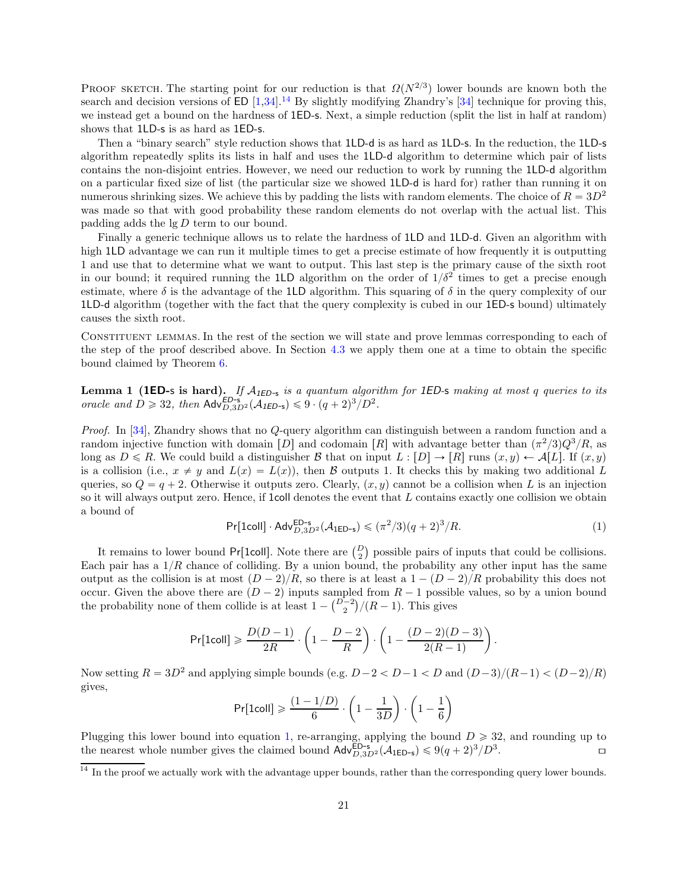PROOF SKETCH. The starting point for our reduction is that  $\Omega(N^{2/3})$  lower bounds are known both the search and decision versions of ED  $[1,34]$  $[1,34]$ .<sup>[14](#page-21-0)</sup> By slightly modifying Zhandry's [\[34\]](#page-25-16) technique for proving this, we instead get a bound on the hardness of 1ED-s. Next, a simple reduction (split the list in half at random) shows that 1LD-s is as hard as 1ED-s.

Then a "binary search" style reduction shows that 1LD-d is as hard as 1LD-s. In the reduction, the 1LD-s algorithm repeatedly splits its lists in half and uses the 1LD-d algorithm to determine which pair of lists contains the non-disjoint entries. However, we need our reduction to work by running the 1LD-d algorithm on a particular fixed size of list (the particular size we showed 1LD-d is hard for) rather than running it on numerous shrinking sizes. We achieve this by padding the lists with random elements. The choice of  $R = 3D^2$ was made so that with good probability these random elements do not overlap with the actual list. This padding adds the lg D term to our bound.

Finally a generic technique allows us to relate the hardness of 1LD and 1LD-d. Given an algorithm with high 1LD advantage we can run it multiple times to get a precise estimate of how frequently it is outputting 1 and use that to determine what we want to output. This last step is the primary cause of the sixth root in our bound; it required running the 1LD algorithm on the order of  $1/\delta^2$  times to get a precise enough estimate, where  $\delta$  is the advantage of the 1LD algorithm. This squaring of  $\delta$  in the query complexity of our 1LD-d algorithm (together with the fact that the query complexity is cubed in our 1ED-s bound) ultimately causes the sixth root.

Constituent lemmas. In the rest of the section we will state and prove lemmas corresponding to each of the step of the proof described above. In Section [4.3](#page-23-0) we apply them one at a time to obtain the specific bound claimed by Theorem [6.](#page-20-3)

<span id="page-21-2"></span>**Lemma 1 (1ED-s is hard).** If  $A_{1ED-s}$  is a quantum algorithm for 1ED-s making at most q queries to its oracle and  $D \ge 32$ , then  $\mathsf{Adv}_{D,3D^2}^{\mathsf{ED-s}}(\mathcal{A}_{\mathsf{IED-s}}) \leq 9 \cdot (q+2)^3/D^2$ .

Proof. In [\[34\]](#page-25-16), Zhandry shows that no Q-query algorithm can distinguish between a random function and a random injective function with domain [D] and codomain [R] with advantage better than  $(\pi^2/3)Q^3/R$ , as long as  $D \le R$ . We could build a distinguisher B that on input  $L : [D] \to [R]$  runs  $(x, y) \leftarrow A[L]$ . If  $(x, y)$ is a collision (i.e.,  $x \neq y$  and  $L(x) = L(x)$ ), then B outputs 1. It checks this by making two additional L queries, so  $Q = q + 2$ . Otherwise it outputs zero. Clearly,  $(x, y)$  cannot be a collision when L is an injection so it will always output zero. Hence, if 1coll denotes the event that L contains exactly one collision we obtain a bound of

<span id="page-21-1"></span>
$$
\Pr[\text{1coll}] \cdot \text{Adv}_{D,3D^2}^{\text{ED-s}}(\mathcal{A}_{\text{1ED-s}}) \leq (\pi^2/3)(q+2)^3/R. \tag{1}
$$

It remains to lower bound Pr[1coll]. Note there are  $\binom{D}{2}$  possible pairs of inputs that could be collisions. Each pair has a  $1/R$  chance of colliding. By a union bound, the probability any other input has the same output as the collision is at most  $(D - 2)/R$ , so there is at least a  $1 - (D - 2)/R$  probability this does not occur. Given the above there are  $(D - 2)$  inputs sampled from  $R - 1$  possible values, so by a union bound the probability none of them collide is at least  $1 - {D-2 \choose 2}/(R-1)$ . This gives

$$
\Pr[\text{1coll}] \geqslant \frac{D(D-1)}{2R} \cdot \left(1 - \frac{D-2}{R}\right) \cdot \left(1 - \frac{(D-2)(D-3)}{2(R-1)}\right).
$$

Now setting  $R = 3D^2$  and applying simple bounds (e.g.  $D-2 < D-1 < D$  and  $(D-3)/(R-1) < (D-2)/R$ ) gives,

$$
\Pr[\text{1coll}] \geqslant \frac{(1-1/D)}{6} \cdot \left(1-\frac{1}{3D}\right) \cdot \left(1-\frac{1}{6}\right)
$$

Plugging this lower bound into equation [1,](#page-21-1) re-arranging, applying the bound  $D \ge 32$ , and rounding up to the nearest whole number gives the claimed bound  $\mathsf{Adv}_{D,3D^2}^{ED-s}(\mathcal{A}_{1ED-s}) \le 9(q+2)^3/D^3$ .

<span id="page-21-3"></span><span id="page-21-0"></span> $\frac{14}{14}$  In the proof we actually work with the advantage upper bounds, rather than the corresponding query lower bounds.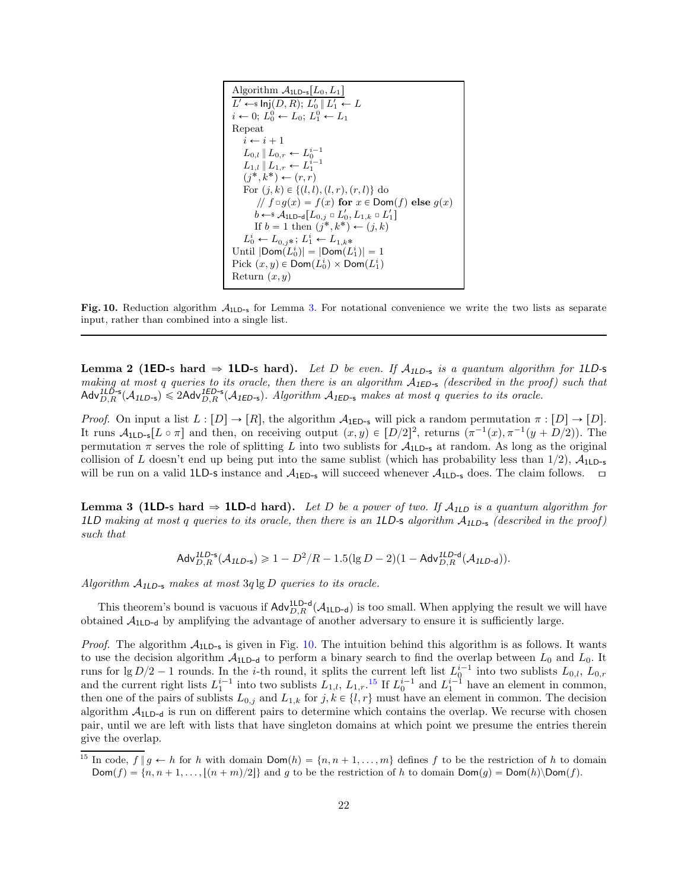Algorithm 
$$
A_{1LD-s}[L_0, L_1]
$$
  
\n $L' \leftarrow s \ln(j(D, R); L'_0 \parallel L'_1 \leftarrow L$   
\n $i \leftarrow 0; L_0^0 \leftarrow L_0; L_1^0 \leftarrow L_1$   
\nRepeat  
\n $i \leftarrow i + 1$   
\n $L_{0,l} \parallel L_{0,r} \leftarrow L_0^{i-1}$   
\n $L_{1,l} \parallel L_{1,r} \leftarrow L_1^{i-1}$   
\n $(j^*, k^*) \leftarrow (r, r)$   
\nFor  $(j, k) \in \{(l, l), (l, r), (r, l)\}$  do  
\n//  $f \circ g(x) = f(x)$  for  $x \in Dom(f)$  else  $g(x)$   
\n $b \leftarrow s A_{1LD-q}[L_{0,j} \circ L'_0, L_{1,k} \circ L'_1]$   
\nIf  $b = 1$  then  $(j^*, k^*) \leftarrow (j, k)$   
\n $L_0^i \leftarrow L_{0,j^*}; L_1^i \leftarrow L_{1,k^*}$   
\nUntil  $|Dom(L_0^i)| = |Dom(L_1^i)| = 1$   
\nPick  $(x, y) \in Dom(L_0^i) \times Dom(L_1^i)$   
\nReturn  $(x, y)$ 

<span id="page-22-1"></span>Fig. 10. Reduction algorithm  $A_{1\text{LD-}5}$  for Lemma [3.](#page-22-0) For notational convenience we write the two lists as separate input, rather than combined into a single list.

**Lemma 2 (1ED-s hard**  $\Rightarrow$  **1LD-s hard).** Let D be even. If  $A_{1LD-5}$  is a quantum algorithm for 1LD-s making at most q queries to its oracle, then there is an algorithm  $A_{\text{IED-s}}$  (described in the proof) such that  $\text{Adv}_{D,R}^{\text{ILD-s}}(\mathcal{A}_{\text{ILD-s}}) \leq 2\text{Adv}_{D,R}^{\text{IED-s}}(A_{\text{ILD-s}})$ . Algorithm  $A_{\text{IED-s}}$  makes at most q queries t

*Proof.* On input a list  $L : [D] \to [R]$ , the algorithm  $A_{1\text{ED-s}}$  will pick a random permutation  $\pi : [D] \to [D]$ . It runs  $A_{1LD-5}[L \circ \pi]$  and then, on receiving output  $(x, y) \in [D/2]^2$ , returns  $(\pi^{-1}(x), \pi^{-1}(y + D/2))$ . The permutation  $\pi$  serves the role of splitting L into two sublists for  $\mathcal{A}_{1LD-s}$  at random. As long as the original collision of L doesn't end up being put into the same sublist (which has probability less than  $1/2$ ),  $A_{1\text{LD-s}}$ will be run on a valid 1LD-s instance and  $A_{1ED-s}$  will succeed whenever  $A_{1LD-s}$  does. The claim follows.  $\Box$ 

<span id="page-22-0"></span>**Lemma 3 (1LD-s hard**  $\Rightarrow$  **1LD-d hard).** Let D be a power of two. If  $A_{1LD}$  is a quantum algorithm for 1LD making at most q queries to its oracle, then there is an 1LD-s algorithm  $A_{1LD-s}$  (described in the proof) such that

$$
\mathsf{Adv}_{D,R}^{\mathsf{ILD-s}}(\mathcal{A}_{\mathsf{ILD-s}}) \geqslant 1- D^2/R - 1.5(\lg D - 2)(1-\mathsf{Adv}_{D,R}^{\mathsf{ILD-d}}(\mathcal{A}_{\mathsf{ILD-d}})).
$$

Algorithm  $A_{1LD-s}$  makes at most  $3q \lg D$  queries to its oracle.

This theorem's bound is vacuous if  $\mathsf{Adv}_{D,R}^{\mathsf{1LD-d}}(\mathcal{A}_{\mathsf{1LD-d}})$  is too small. When applying the result we will have obtained  $A_{1\text{LD-d}}$  by amplifying the advantage of another adversary to ensure it is sufficiently large.

*Proof.* The algorithm  $A_{1LD-s}$  is given in Fig. [10.](#page-22-1) The intuition behind this algorithm is as follows. It wants to use the decision algorithm  $A_{1LD-d}$  to perform a binary search to find the overlap between  $L_0$  and  $L_0$ . It runs for lg  $D/2 - 1$  rounds. In the *i*-th round, it splits the current left list  $L^{i-1}$  into two sublists  $L_{0,l}$ ,  $L_{0,r}$ and the current right lists  $L_1^{i-1}$  into two sublists  $L_{1,l}$ ,  $L_{1,r}$ .<sup>[15](#page-22-2)</sup> If  $L_0^{i-1}$  and  $L_1^{i-1}$  have an element in common, then one of the pairs of sublists  $L_{0,j}$  and  $L_{1,k}$  for  $j, k \in \{l, r\}$  must have an element in common. The decision algorithm  $A_{1\text{LD}-d}$  is run on different pairs to determine which contains the overlap. We recurse with chosen pair, until we are left with lists that have singleton domains at which point we presume the entries therein give the overlap.

<span id="page-22-2"></span><sup>&</sup>lt;sup>15</sup> In code,  $f \| g \leftarrow h$  for h with domain  $Dom(h) = \{n, n + 1, ..., m\}$  defines f to be the restriction of h to domain  $\textsf{Dom}(f) = \{n, n + 1, \ldots, \lfloor (n + m)/2 \rfloor\}$  and g to be the restriction of h to domain  $\textsf{Dom}(g) = \textsf{Dom}(h) \setminus \textsf{Dom}(f)$ .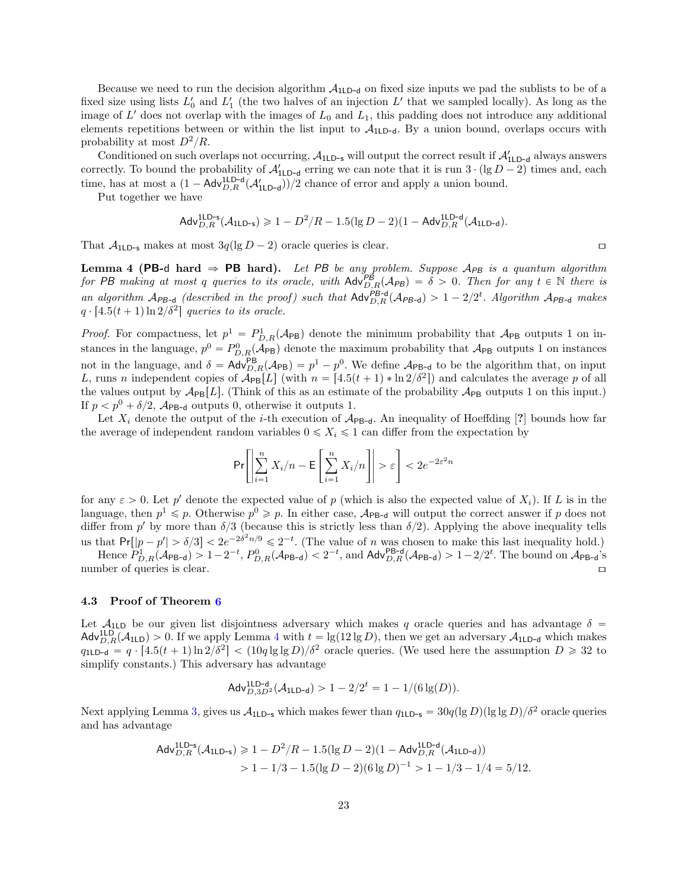Because we need to run the decision algorithm  $A_{1LD-d}$  on fixed size inputs we pad the sublists to be of a fixed size using lists  $L'_0$  and  $L'_1$  (the two halves of an injection  $L'$  that we sampled locally). As long as the image of  $L'$  does not overlap with the images of  $L_0$  and  $L_1$ , this padding does not introduce any additional elements repetitions between or within the list input to  $A_{1\text{LD-d}}$ . By a union bound, overlaps occurs with probability at most  $D^2/R$ .

Conditioned on such overlaps not occurring,  $A_{1LD-s}$  will output the correct result if  $A'_{1LD-d}$  always answers correctly. To bound the probability of  $\mathcal{A}_{1LD-d}'$  erring we can note that it is run  $3 \cdot (\lg D - 2)$  times and, each time, has at most a  $(1 - \mathsf{Adv}_{D,R}^{\mathsf{1LD-d}}(\mathcal{A}'_{\mathsf{1LD-d}}))/2$  chance of error and apply a union bound.

Put together we have

$$
\mathsf{Adv}_{D,R}^{\mathsf{1LD-s}}(\mathcal{A}_{\mathsf{1LD-s}}) \geqslant 1- D^2/R - 1.5(\lg D - 2)(1-\mathsf{Adv}_{D,R}^{\mathsf{1LD-d}}(\mathcal{A}_{\mathsf{1LD-d}}).
$$

<span id="page-23-1"></span>That  $\mathcal{A}_{11,D}$ -s makes at most  $3q(\lg D - 2)$  oracle queries is clear.

Lemma 4 (PB-d hard  $\Rightarrow$  PB hard). Let PB be any problem. Suppose  $A_{PB}$  is a quantum algorithm for PB making at most q queries to its oracle, with  $\text{Adv}_{D,R}^{PB}(A_{PB}) = \delta > 0$ . Then for any  $t \in \mathbb{N}$  there is an algorithm  $A_{PB-d}$  (described in the proof) such that  $Adv_{D,R}^{P-B-d}(A_{PB-d}) > 1 - 2/2^t$ . Algorithm  $A_{PB-d}$  makes  $q \cdot [4.5(t+1) \ln 2/\delta^2]$  queries to its oracle.

*Proof.* For compactness, let  $p^1 = P_{D,R}^1(\mathcal{A}_{PB})$  denote the minimum probability that  $\mathcal{A}_{PB}$  outputs 1 on instances in the language,  $p^0 = P_{D,R}^0(\mathcal{A}_{PB})$  denote the maximum probability that  $\mathcal{A}_{PB}$  outputs 1 on instances not in the language, and  $\delta = \mathsf{Adv}_{D,R}^{\mathsf{PB}}(\mathcal{A}_{\mathsf{PB}}) = p^1 - p^0$ . We define  $\mathcal{A}_{\mathsf{PB-d}}$  to be the algorithm that, on input L, runs n independent copies of  $\mathcal{A}_{PB}[L]$  (with  $n = [4.5(t+1) * \ln 2/\delta^2]$ ) and calculates the average p of all the values output by  $\mathcal{A}_{\text{PB}}[L]$ . (Think of this as an estimate of the probability  $\mathcal{A}_{\text{PB}}$  outputs 1 on this input.) If  $p < p^0 + \delta/2$ ,  $\mathcal{A}_{\text{PB-d}}$  outputs 0, otherwise it outputs 1.

Let  $X_i$  denote the output of the *i*-th execution of  $A_{PB-d}$ . An inequality of Hoeffding [?] bounds how far the average of independent random variables  $0 \leq X_i \leq 1$  can differ from the expectation by

$$
\Pr\!\left[\left|\sum_{i=1}^n X_i / n - \mathsf{E}\left[\sum_{i=1}^n X_i / n\right]\right| > \varepsilon\right] < 2e^{-2\varepsilon^2 n}
$$

for any  $\varepsilon > 0$ . Let p' denote the expected value of p (which is also the expected value of  $X_i$ ). If L is in the language, then  $p^1 \leq p$ . Otherwise  $p^0 \geq p$ . In either case,  $\mathcal{A}_{\text{PB-d}}$  will output the correct answer if p does not differ from p' by more than  $\delta/3$  (because this is strictly less than  $\delta/2$ ). Applying the above inequality tells us that  $Pr[|p-p'| > \delta/3] < 2e^{-2\delta^2 n/9} \leq 2^{-t}$ . (The value of n was chosen to make this last inequality hold.) Hence  $P_{D,R}^1(\mathcal{A}_{\text{PB-d}}) > 1 - 2^{-t}$ ,  $P_{D,R}^0(\mathcal{A}_{\text{PB-d}}) < 2^{-t}$ , and  $\mathsf{Adv}_{D,R}^{\text{PB-d}}(\mathcal{A}_{\text{PB-d}}) > 1 - 2/2^t$ . The bound on  $\mathcal{A}_{\text{PB-d}}$ 's

number of queries is clear.  $\Box$ 

#### <span id="page-23-0"></span>4.3 Proof of Theorem [6](#page-20-3)

Let  $A_{1LD}$  be our given list disjointness adversary which makes q oracle queries and has advantage  $\delta$  =  $\mathsf{Adv}_{D,R}^{\mathsf{ILD}}(\mathcal{A}_{\mathsf{ILD}}) > 0.$  If we apply Lemma [4](#page-23-1) with  $t = \lg(12 \lg D)$ , then we get an adversary  $\mathcal{A}_{\mathsf{ILD-d}}$  which makes  $q_{1LD-d} = q \cdot [4.5(t+1)\ln 2/\delta^2] < (10q \lg \lg D)/\delta^2$  oracle queries. (We used here the assumption  $D \ge 32$  to simplify constants.) This adversary has advantage

$$
\mathsf{Adv}_{D,3D^2}^{\mathsf{1LD-d}}(\mathcal{A}_\mathsf{1LD-d}) > 1 - 2/2^t = 1 - 1/(6\lg(D)).
$$

Next applying Lemma [3,](#page-22-0) gives us  $A_{1LD-s}$  which makes fewer than  $q_{1LD-s} = 30q(\lg D)(\lg \lg D)/\delta^2$  oracle queries and has advantage

$$
\begin{aligned} \mathsf{Adv}_{D,R}^{\mathsf{1LD-s}}(\mathcal{A}_{\mathsf{1LD-s}}) &\geq 1 - D^2/R - 1.5(\lg D - 2)(1 - \mathsf{Adv}_{D,R}^{\mathsf{1LD-d}}(\mathcal{A}_{\mathsf{1LD-d}})) \\ &> 1 - 1/3 - 1.5(\lg D - 2)(6\lg D)^{-1} > 1 - 1/3 - 1/4 = 5/12. \end{aligned}
$$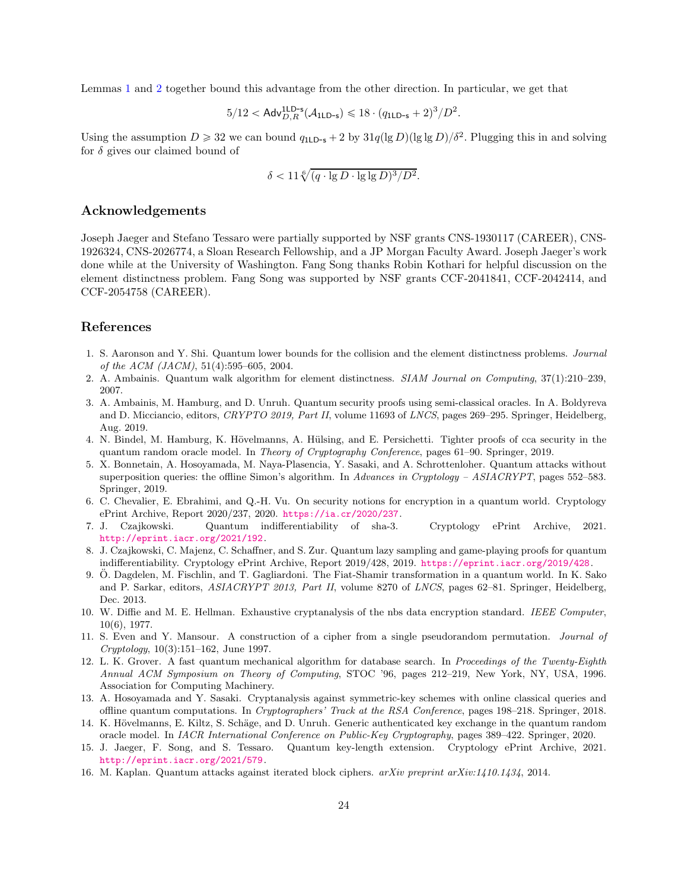Lemmas [1](#page-21-2) and [2](#page-21-3) together bound this advantage from the other direction. In particular, we get that

$$
5/12 < \mathsf{Adv}_{D,R}^{\mathsf{1LD-s}}(\mathcal{A}_{\mathsf{1LD-s}}) \leqslant 18 \cdot (q_{\mathsf{1LD-s}} + 2)^3 / D^2.
$$

Using the assumption  $D \ge 32$  we can bound  $q_{1LD-s} + 2$  by  $31q(\lg D)(\lg \lg D)/\delta^2$ . Plugging this in and solving for  $\delta$  gives our claimed bound of

$$
\delta < 11 \sqrt[6]{(q \cdot \lg D \cdot \lg \lg D)^3 / D^2}.
$$

### Acknowledgements

Joseph Jaeger and Stefano Tessaro were partially supported by NSF grants CNS-1930117 (CAREER), CNS-1926324, CNS-2026774, a Sloan Research Fellowship, and a JP Morgan Faculty Award. Joseph Jaeger's work done while at the University of Washington. Fang Song thanks Robin Kothari for helpful discussion on the element distinctness problem. Fang Song was supported by NSF grants CCF-2041841, CCF-2042414, and CCF-2054758 (CAREER).

## <span id="page-24-13"></span>References

- 1. S. Aaronson and Y. Shi. Quantum lower bounds for the collision and the element distinctness problems. *Journal of the ACM (JACM)*, 51(4):595–605, 2004.
- <span id="page-24-14"></span><span id="page-24-6"></span>2. A. Ambainis. Quantum walk algorithm for element distinctness. *SIAM Journal on Computing*, 37(1):210–239, 2007.
- 3. A. Ambainis, M. Hamburg, and D. Unruh. Quantum security proofs using semi-classical oracles. In A. Boldyreva and D. Micciancio, editors, *CRYPTO 2019, Part II*, volume 11693 of *LNCS*, pages 269–295. Springer, Heidelberg, Aug. 2019.
- <span id="page-24-3"></span>4. N. Bindel, M. Hamburg, K. Hövelmanns, A. Hülsing, and E. Persichetti. Tighter proofs of cca security in the quantum random oracle model. In *Theory of Cryptography Conference*, pages 61–90. Springer, 2019.
- <span id="page-24-1"></span>5. X. Bonnetain, A. Hosoyamada, M. Naya-Plasencia, Y. Sasaki, and A. Schrottenloher. Quantum attacks without superposition queries: the offline Simon's algorithm. In *Advances in Cryptology – ASIACRYPT*, pages 552–583. Springer, 2019.
- <span id="page-24-9"></span>6. C. Chevalier, E. Ebrahimi, and Q.-H. Vu. On security notions for encryption in a quantum world. Cryptology ePrint Archive, Report 2020/237, 2020. <https://ia.cr/2020/237>.
- <span id="page-24-10"></span>7. J. Czajkowski. Quantum indifferentiability of sha-3. Cryptology ePrint Archive, 2021. <http://eprint.iacr.org/2021/192>.
- <span id="page-24-8"></span>8. J. Czajkowski, C. Majenz, C. Schaffner, and S. Zur. Quantum lazy sampling and game-playing proofs for quantum indifferentiability. Cryptology ePrint Archive, Report 2019/428, 2019. <https://eprint.iacr.org/2019/428>.
- <span id="page-24-7"></span>9. Ö. Dagdelen, M. Fischlin, and T. Gagliardoni. The Fiat-Shamir transformation in a quantum world. In K. Sako and P. Sarkar, editors, *ASIACRYPT 2013, Part II*, volume 8270 of *LNCS*, pages 62–81. Springer, Heidelberg, Dec. 2013.
- <span id="page-24-11"></span>10. W. Diffie and M. E. Hellman. Exhaustive cryptanalysis of the nbs data encryption standard. *IEEE Computer*, 10(6), 1977.
- <span id="page-24-4"></span>11. S. Even and Y. Mansour. A construction of a cipher from a single pseudorandom permutation. *Journal of Cryptology*, 10(3):151–162, June 1997.
- <span id="page-24-0"></span>12. L. K. Grover. A fast quantum mechanical algorithm for database search. In *Proceedings of the Twenty-Eighth Annual ACM Symposium on Theory of Computing*, STOC '96, pages 212–219, New York, NY, USA, 1996. Association for Computing Machinery.
- <span id="page-24-5"></span>13. A. Hosoyamada and Y. Sasaki. Cryptanalysis against symmetric-key schemes with online classical queries and offline quantum computations. In *Cryptographers' Track at the RSA Conference*, pages 198–218. Springer, 2018.
- <span id="page-24-2"></span>14. K. Hövelmanns, E. Kiltz, S. Schäge, and D. Unruh. Generic authenticated key exchange in the quantum random oracle model. In *IACR International Conference on Public-Key Cryptography*, pages 389–422. Springer, 2020.
- 15. J. Jaeger, F. Song, and S. Tessaro. Quantum key-length extension. Cryptology ePrint Archive, 2021. <http://eprint.iacr.org/2021/579>.
- <span id="page-24-12"></span>16. M. Kaplan. Quantum attacks against iterated block ciphers. *arXiv preprint arXiv:1410.1434*, 2014.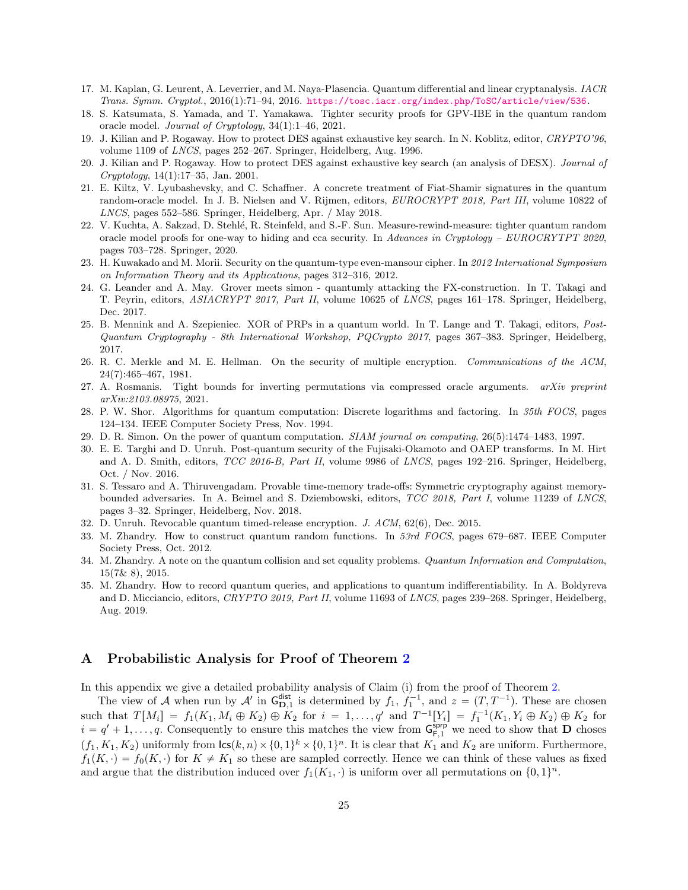- <span id="page-25-7"></span><span id="page-25-2"></span>17. M. Kaplan, G. Leurent, A. Leverrier, and M. Naya-Plasencia. Quantum differential and linear cryptanalysis. *IACR Trans. Symm. Cryptol.*, 2016(1):71–94, 2016. <https://tosc.iacr.org/index.php/ToSC/article/view/536>.
- <span id="page-25-17"></span>18. S. Katsumata, S. Yamada, and T. Yamakawa. Tighter security proofs for GPV-IBE in the quantum random oracle model. *Journal of Cryptology*, 34(1):1–46, 2021.
- <span id="page-25-3"></span>19. J. Kilian and P. Rogaway. How to protect DES against exhaustive key search. In N. Koblitz, editor, *CRYPTO'96*, volume 1109 of *LNCS*, pages 252–267. Springer, Heidelberg, Aug. 1996.
- 20. J. Kilian and P. Rogaway. How to protect DES against exhaustive key search (an analysis of DESX). *Journal of Cryptology*, 14(1):17–35, Jan. 2001.
- <span id="page-25-5"></span>21. E. Kiltz, V. Lyubashevsky, and C. Schaffner. A concrete treatment of Fiat-Shamir signatures in the quantum random-oracle model. In J. B. Nielsen and V. Rijmen, editors, *EUROCRYPT 2018, Part III*, volume 10822 of *LNCS*, pages 552–586. Springer, Heidelberg, Apr. / May 2018.
- <span id="page-25-6"></span>22. V. Kuchta, A. Sakzad, D. Stehlé, R. Steinfeld, and S.-F. Sun. Measure-rewind-measure: tighter quantum random oracle model proofs for one-way to hiding and cca security. In *Advances in Cryptology – EUROCRYTPT 2020*, pages 703–728. Springer, 2020.
- <span id="page-25-4"></span><span id="page-25-1"></span>23. H. Kuwakado and M. Morii. Security on the quantum-type even-mansour cipher. In *2012 International Symposium on Information Theory and its Applications*, pages 312–316, 2012.
- 24. G. Leander and A. May. Grover meets simon quantumly attacking the FX-construction. In T. Takagi and T. Peyrin, editors, *ASIACRYPT 2017, Part II*, volume 10625 of *LNCS*, pages 161–178. Springer, Heidelberg, Dec. 2017.
- <span id="page-25-8"></span>25. B. Mennink and A. Szepieniec. XOR of PRPs in a quantum world. In T. Lange and T. Takagi, editors, *Post-Quantum Cryptography - 8th International Workshop, PQCrypto 2017*, pages 367–383. Springer, Heidelberg, 2017.
- <span id="page-25-14"></span>26. R. C. Merkle and M. E. Hellman. On the security of multiple encryption. *Communications of the ACM*, 24(7):465–467, 1981.
- <span id="page-25-13"></span>27. A. Rosmanis. Tight bounds for inverting permutations via compressed oracle arguments. *arXiv preprint arXiv:2103.08975*, 2021.
- <span id="page-25-18"></span><span id="page-25-0"></span>28. P. W. Shor. Algorithms for quantum computation: Discrete logarithms and factoring. In *35th FOCS*, pages 124–134. IEEE Computer Society Press, Nov. 1994.
- <span id="page-25-12"></span>29. D. R. Simon. On the power of quantum computation. *SIAM journal on computing*, 26(5):1474–1483, 1997.
- 30. E. E. Targhi and D. Unruh. Post-quantum security of the Fujisaki-Okamoto and OAEP transforms. In M. Hirt and A. D. Smith, editors, *TCC 2016-B, Part II*, volume 9986 of *LNCS*, pages 192–216. Springer, Heidelberg, Oct. / Nov. 2016.
- <span id="page-25-15"></span>31. S. Tessaro and A. Thiruvengadam. Provable time-memory trade-offs: Symmetric cryptography against memorybounded adversaries. In A. Beimel and S. Dziembowski, editors, *TCC 2018, Part I*, volume 11239 of *LNCS*, pages 3–32. Springer, Heidelberg, Nov. 2018.
- <span id="page-25-11"></span><span id="page-25-9"></span>32. D. Unruh. Revocable quantum timed-release encryption. *J. ACM*, 62(6), Dec. 2015.
- 33. M. Zhandry. How to construct quantum random functions. In *53rd FOCS*, pages 679–687. IEEE Computer Society Press, Oct. 2012.
- <span id="page-25-16"></span>34. M. Zhandry. A note on the quantum collision and set equality problems. *Quantum Information and Computation*, 15(7& 8), 2015.
- <span id="page-25-10"></span>35. M. Zhandry. How to record quantum queries, and applications to quantum indifferentiability. In A. Boldyreva and D. Micciancio, editors, *CRYPTO 2019, Part II*, volume 11693 of *LNCS*, pages 239–268. Springer, Heidelberg, Aug. 2019.

## <span id="page-25-19"></span>A Probabilistic Analysis for Proof of Theorem [2](#page-10-0)

In this appendix we give a detailed probability analysis of Claim (i) from the proof of Theorem [2.](#page-10-0)

The view of A when run by A' in  $G_{D,1}^{\text{dist}}$  is determined by  $f_1$ ,  $f_1^{-1}$ , and  $z = (T, T^{-1})$ . These are chosen such that  $T[M_i] = f_1(K_1, M_i \oplus K_2) \oplus K_2$  for  $i = 1, ..., q'$  and  $T^{-1}[Y_i] = f_1^{-1}(K_1, Y_i \oplus K_2) \oplus K_2$  for  $i = q' + 1, \ldots, q$ . Consequently to ensure this matches the view from  $G_{F,1}^{s_{\text{app}}}$  we need to show that **D** choses  $(f_1, K_1, K_2)$  uniformly from  $\textsf{lcs}(k, n) \times \{0, 1\}^k \times \{0, 1\}^n$ . It is clear that  $K_1$  and  $K_2$  are uniform. Furthermore,  $f_1(K, \cdot) = f_0(K, \cdot)$  for  $K \neq K_1$  so these are sampled correctly. Hence we can think of these values as fixed and argue that the distribution induced over  $f_1(K_1, \cdot)$  is uniform over all permutations on  $\{0, 1\}^n$ .